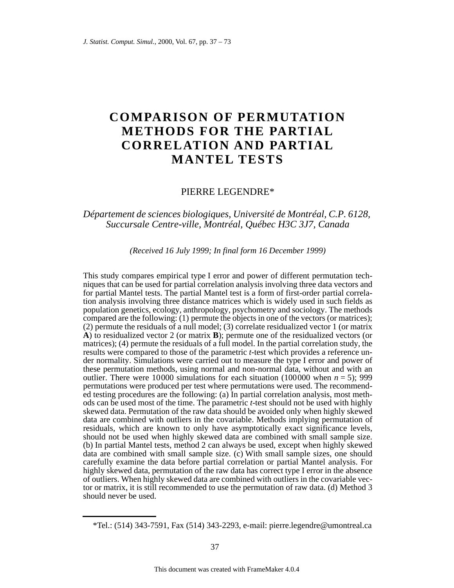# **COMPARISON OF PERMUTATION METHODS FOR THE PARTIAL CORRELATION AND PARTIAL MANTEL TESTS**

#### PIERRE LEGENDRE\*

## *Département de sciences biologiques, Université de Montréal, C.P. 6128, Succursale Centre-ville, Montréal, Québec H3C 3J7, Canada*

*(Received 16 July 1999; In final form 16 December 1999)*

This study compares empirical type I error and power of different permutation techniques that can be used for partial correlation analysis involving three data vectors and for partial Mantel tests. The partial Mantel test is a form of first-order partial correlation analysis involving three distance matrices which is widely used in such fields as population genetics, ecology, anthropology, psychometry and sociology. The methods compared are the following: (1) permute the objects in one of the vectors (or matrices); (2) permute the residuals of a null model; (3) correlate residualized vector 1 (or matrix **A**) to residualized vector 2 (or matrix **B**); permute one of the residualized vectors (or matrices); (4) permute the residuals of a full model. In the partial correlation study, the results were compared to those of the parametric *t*-test which provides a reference under normality. Simulations were carried out to measure the type I error and power of these permutation methods, using normal and non-normal data, without and with an outlier. There were 10000 simulations for each situation  $(100000$  when  $n = 5)$ ; 999 permutations were produced per test where permutations were used. The recommended testing procedures are the following: (a) In partial correlation analysis, most methods can be used most of the time. The parametric *t-*test should not be used with highly skewed data. Permutation of the raw data should be avoided only when highly skewed data are combined with outliers in the covariable. Methods implying permutation of residuals, which are known to only have asymptotically exact significance levels, should not be used when highly skewed data are combined with small sample size. (b) In partial Mantel tests, method 2 can always be used, except when highly skewed data are combined with small sample size. (c) With small sample sizes, one should carefully examine the data before partial correlation or partial Mantel analysis. For highly skewed data, permutation of the raw data has correct type I error in the absence of outliers. When highly skewed data are combined with outliers in the covariable vector or matrix, it is still recommended to use the permutation of raw data. (d) Method 3 should never be used.

<sup>\*</sup>Tel.: (514) 343-7591, Fax (514) 343-2293, e-mail: pierre.legendre@umontreal.ca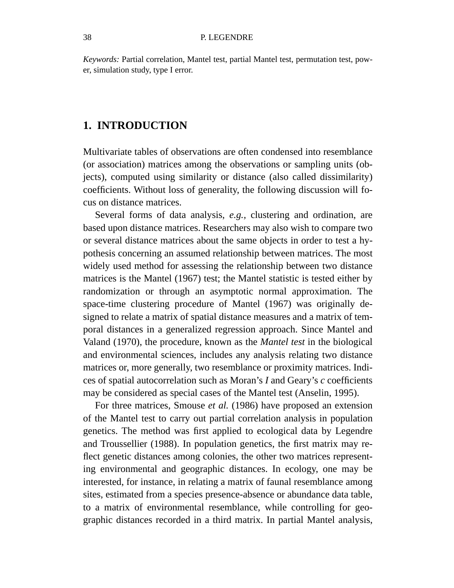*Keywords:* Partial correlation, Mantel test, partial Mantel test, permutation test, power, simulation study, type I error.

# **1. INTRODUCTION**

Multivariate tables of observations are often condensed into resemblance (or association) matrices among the observations or sampling units (objects), computed using similarity or distance (also called dissimilarity) coefficients. Without loss of generality, the following discussion will focus on distance matrices.

Several forms of data analysis, *e.g.,* clustering and ordination, are based upon distance matrices. Researchers may also wish to compare two or several distance matrices about the same objects in order to test a hypothesis concerning an assumed relationship between matrices. The most widely used method for assessing the relationship between two distance matrices is the Mantel (1967) test; the Mantel statistic is tested either by randomization or through an asymptotic normal approximation. The space-time clustering procedure of Mantel (1967) was originally designed to relate a matrix of spatial distance measures and a matrix of temporal distances in a generalized regression approach. Since Mantel and Valand (1970), the procedure, known as the *Mantel test* in the biological and environmental sciences, includes any analysis relating two distance matrices or, more generally, two resemblance or proximity matrices. Indices of spatial autocorrelation such as Moran's *I* and Geary's *c* coefficients may be considered as special cases of the Mantel test (Anselin, 1995).

For three matrices, Smouse *et al.* (1986) have proposed an extension of the Mantel test to carry out partial correlation analysis in population genetics. The method was first applied to ecological data by Legendre and Troussellier (1988). In population genetics, the first matrix may reflect genetic distances among colonies, the other two matrices representing environmental and geographic distances. In ecology, one may be interested, for instance, in relating a matrix of faunal resemblance among sites, estimated from a species presence-absence or abundance data table, to a matrix of environmental resemblance, while controlling for geographic distances recorded in a third matrix. In partial Mantel analysis,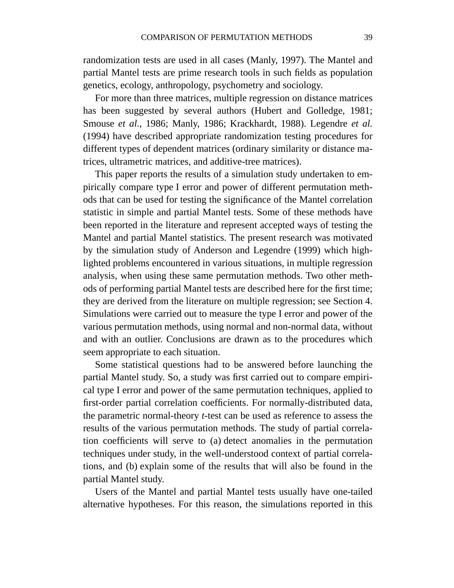randomization tests are used in all cases (Manly, 1997). The Mantel and partial Mantel tests are prime research tools in such fields as population genetics, ecology, anthropology, psychometry and sociology.

For more than three matrices, multiple regression on distance matrices has been suggested by several authors (Hubert and Golledge, 1981; Smouse *et al.*, 1986; Manly, 1986; Krackhardt, 1988). Legendre *et al.* (1994) have described appropriate randomization testing procedures for different types of dependent matrices (ordinary similarity or distance matrices, ultrametric matrices, and additive-tree matrices).

This paper reports the results of a simulation study undertaken to empirically compare type I error and power of different permutation methods that can be used for testing the significance of the Mantel correlation statistic in simple and partial Mantel tests. Some of these methods have been reported in the literature and represent accepted ways of testing the Mantel and partial Mantel statistics. The present research was motivated by the simulation study of Anderson and Legendre (1999) which highlighted problems encountered in various situations, in multiple regression analysis, when using these same permutation methods. Two other methods of performing partial Mantel tests are described here for the first time; they are derived from the literature on multiple regression; see Section 4. Simulations were carried out to measure the type I error and power of the various permutation methods, using normal and non-normal data, without and with an outlier. Conclusions are drawn as to the procedures which seem appropriate to each situation.

Some statistical questions had to be answered before launching the partial Mantel study. So, a study was first carried out to compare empirical type I error and power of the same permutation techniques, applied to first-order partial correlation coefficients. For normally-distributed data, the parametric normal-theory *t*-test can be used as reference to assess the results of the various permutation methods. The study of partial correlation coefficients will serve to (a) detect anomalies in the permutation techniques under study, in the well-understood context of partial correlations, and (b) explain some of the results that will also be found in the partial Mantel study.

Users of the Mantel and partial Mantel tests usually have one-tailed alternative hypotheses. For this reason, the simulations reported in this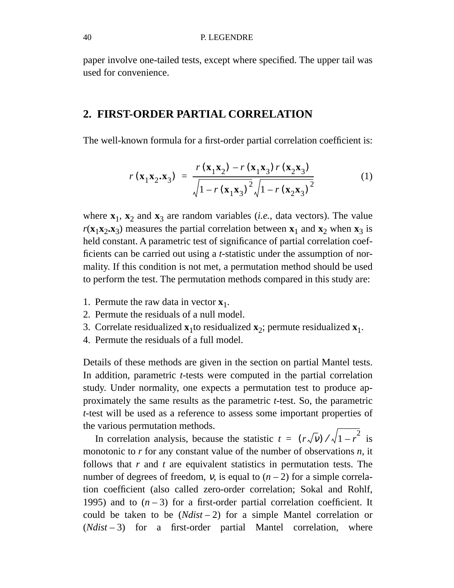paper involve one-tailed tests, except where specified. The upper tail was used for convenience.

# **2. FIRST-ORDER PARTIAL CORRELATION**

The well-known formula for a first-order partial correlation coefficient is:

$$
r(\mathbf{x}_1 \mathbf{x}_2 \cdot \mathbf{x}_3) = \frac{r(\mathbf{x}_1 \mathbf{x}_2) - r(\mathbf{x}_1 \mathbf{x}_3) r(\mathbf{x}_2 \mathbf{x}_3)}{\sqrt{1 - r(\mathbf{x}_1 \mathbf{x}_3)^2} \sqrt{1 - r(\mathbf{x}_2 \mathbf{x}_3)^2}}
$$
(1)

where  $\mathbf{x}_1$ ,  $\mathbf{x}_2$  and  $\mathbf{x}_3$  are random variables (*i.e.*, data vectors). The value  $r(\mathbf{x}_1 \mathbf{x}_2 \cdot \mathbf{x}_3)$  measures the partial correlation between  $\mathbf{x}_1$  and  $\mathbf{x}_2$  when  $\mathbf{x}_3$  is held constant. A parametric test of significance of partial correlation coefficients can be carried out using a *t*-statistic under the assumption of normality. If this condition is not met, a permutation method should be used to perform the test. The permutation methods compared in this study are:

- 1. Permute the raw data in vector  $\mathbf{x}_1$ .
- 2. Permute the residuals of a null model.
- 3. Correlate residualized  $\mathbf{x}_1$  to residualized  $\mathbf{x}_2$ ; permute residualized  $\mathbf{x}_1$ .
- 4. Permute the residuals of a full model.

Details of these methods are given in the section on partial Mantel tests. In addition, parametric *t*-tests were computed in the partial correlation study. Under normality, one expects a permutation test to produce approximately the same results as the parametric *t*-test. So, the parametric *t*-test will be used as a reference to assess some important properties of the various permutation methods.

In correlation analysis, because the statistic  $t = (r\sqrt{v}) / \sqrt{1 - r^2}$  is monotonic to *r* for any constant value of the number of observations *n*, it follows that *r* and *t* are equivalent statistics in permutation tests. The number of degrees of freedom, v, is equal to  $(n-2)$  for a simple correlation coefficient (also called zero-order correlation; Sokal and Rohlf, 1995) and to  $(n-3)$  for a first-order partial correlation coefficient. It could be taken to be (*Ndist* – 2) for a simple Mantel correlation or (*Ndist* – 3) for a first-order partial Mantel correlation, where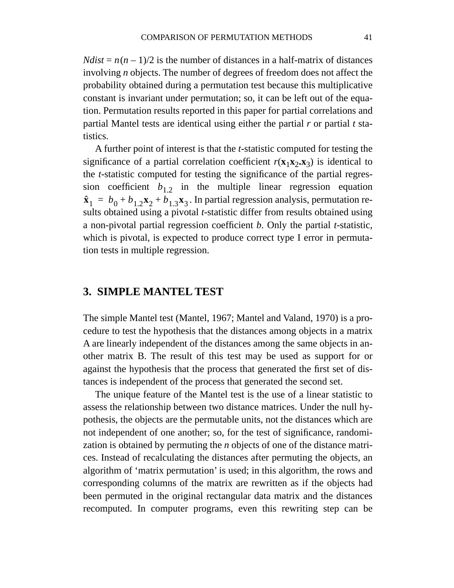$Ndist = n(n-1)/2$  is the number of distances in a half-matrix of distances involving *n* objects. The number of degrees of freedom does not affect the probability obtained during a permutation test because this multiplicative constant is invariant under permutation; so, it can be left out of the equation. Permutation results reported in this paper for partial correlations and partial Mantel tests are identical using either the partial *r* or partial *t* statistics.

A further point of interest is that the *t*-statistic computed for testing the significance of a partial correlation coefficient  $r(\mathbf{x}_1 \mathbf{x}_2, \mathbf{x}_3)$  is identical to the *t*-statistic computed for testing the significance of the partial regression coefficient  $b_{12}$  in the multiple linear regression equation  $\hat{\mathbf{x}}_1 = b_0 + b_{1,2} \mathbf{x}_2 + b_{1,3} \mathbf{x}_3$ . In partial regression analysis, permutation results obtained using a pivotal *t*-statistic differ from results obtained using a non-pivotal partial regression coefficient *b*. Only the partial *t*-statistic, which is pivotal, is expected to produce correct type I error in permutation tests in multiple regression.

# **3. SIMPLE MANTEL TEST**

The simple Mantel test (Mantel, 1967; Mantel and Valand, 1970) is a procedure to test the hypothesis that the distances among objects in a matrix A are linearly independent of the distances among the same objects in another matrix B. The result of this test may be used as support for or against the hypothesis that the process that generated the first set of distances is independent of the process that generated the second set.

The unique feature of the Mantel test is the use of a linear statistic to assess the relationship between two distance matrices. Under the null hypothesis, the objects are the permutable units, not the distances which are not independent of one another; so, for the test of significance, randomization is obtained by permuting the *n* objects of one of the distance matrices. Instead of recalculating the distances after permuting the objects, an algorithm of 'matrix permutation' is used; in this algorithm, the rows and corresponding columns of the matrix are rewritten as if the objects had been permuted in the original rectangular data matrix and the distances recomputed. In computer programs, even this rewriting step can be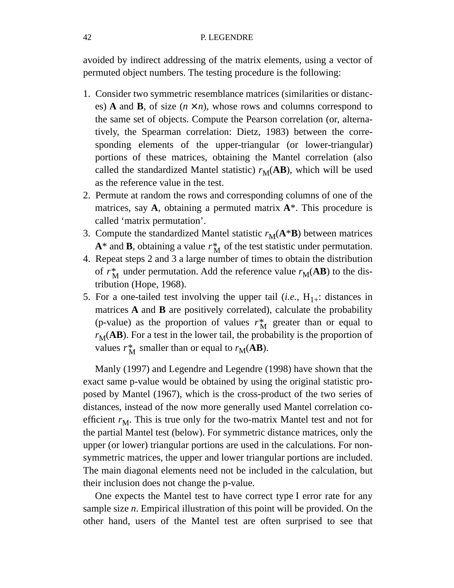avoided by indirect addressing of the matrix elements, using a vector of permuted object numbers. The testing procedure is the following:

- 1. Consider two symmetric resemblance matrices (similarities or distances) **A** and **B**, of size  $(n \times n)$ , whose rows and columns correspond to the same set of objects. Compute the Pearson correlation (or, alternatively, the Spearman correlation: Dietz, 1983) between the corresponding elements of the upper-triangular (or lower-triangular) portions of these matrices, obtaining the Mantel correlation (also called the standardized Mantel statistic)  $r_M(AB)$ , which will be used as the reference value in the test.
- 2. Permute at random the rows and corresponding columns of one of the matrices, say **A**, obtaining a permuted matrix **A**\*. This procedure is called 'matrix permutation'.
- 3. Compute the standardized Mantel statistic  $r_M(A*B)$  between matrices  $A^*$  and **B**, obtaining a value  $r_M^*$  of the test statistic under permutation.
- 4. Repeat steps 2 and 3 a large number of times to obtain the distribution of  $r_M^*$  under permutation. Add the reference value  $r_M(AB)$  to the distribution (Hope, 1968).
- 5. For a one-tailed test involving the upper tail  $(i.e., H<sub>1+</sub>:$  distances in matrices **A** and **B** are positively correlated), calculate the probability (p-value) as the proportion of values  $r_M^*$  greater than or equal to  $r_M(AB)$ . For a test in the lower tail, the probability is the proportion of values  $r_M^*$  smaller than or equal to  $r_M(AB)$ .

Manly (1997) and Legendre and Legendre (1998) have shown that the exact same p-value would be obtained by using the original statistic proposed by Mantel (1967), which is the cross-product of the two series of distances, instead of the now more generally used Mantel correlation coefficient  $r_M$ . This is true only for the two-matrix Mantel test and not for the partial Mantel test (below). For symmetric distance matrices, only the upper (or lower) triangular portions are used in the calculations. For nonsymmetric matrices, the upper and lower triangular portions are included. The main diagonal elements need not be included in the calculation, but their inclusion does not change the p-value.

One expects the Mantel test to have correct type I error rate for any sample size *n*. Empirical illustration of this point will be provided. On the other hand, users of the Mantel test are often surprised to see that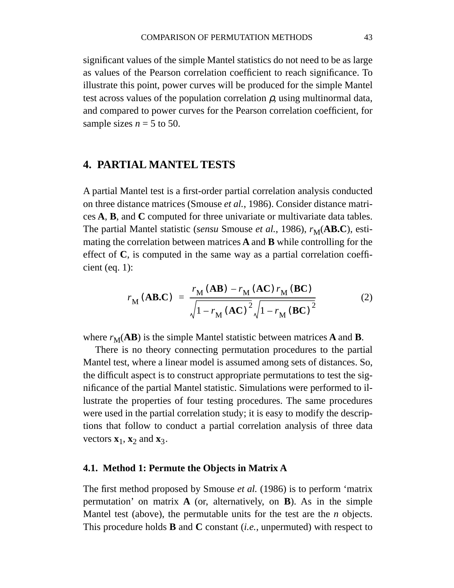significant values of the simple Mantel statistics do not need to be as large as values of the Pearson correlation coefficient to reach significance. To illustrate this point, power curves will be produced for the simple Mantel test across values of the population correlation  $\rho$ , using multinormal data, and compared to power curves for the Pearson correlation coefficient, for sample sizes  $n = 5$  to 50.

# **4. PARTIAL MANTEL TESTS**

A partial Mantel test is a first-order partial correlation analysis conducted on three distance matrices (Smouse *et al.*, 1986). Consider distance matrices **A**, **B**, and **C** computed for three univariate or multivariate data tables. The partial Mantel statistic (*sensu* Smouse *et al.*, 1986),  $r_M(AB.C)$ , estimating the correlation between matrices **A** and **B** while controlling for the effect of **C**, is computed in the same way as a partial correlation coefficient (eq. 1):

$$
r_{\rm M}(\mathbf{AB.C}) = \frac{r_{\rm M}(\mathbf{AB}) - r_{\rm M}(\mathbf{AC})r_{\rm M}(\mathbf{BC})}{\sqrt{1 - r_{\rm M}(\mathbf{AC})^2} \sqrt{1 - r_{\rm M}(\mathbf{BC})^2}}
$$
(2)

where  $r_M(AB)$  is the simple Mantel statistic between matrices **A** and **B**.

There is no theory connecting permutation procedures to the partial Mantel test, where a linear model is assumed among sets of distances. So, the difficult aspect is to construct appropriate permutations to test the significance of the partial Mantel statistic. Simulations were performed to illustrate the properties of four testing procedures. The same procedures were used in the partial correlation study; it is easy to modify the descriptions that follow to conduct a partial correlation analysis of three data vectors  $\mathbf{x}_1$ ,  $\mathbf{x}_2$  and  $\mathbf{x}_3$ .

### **4.1. Method 1: Permute the Objects in Matrix A**

The first method proposed by Smouse *et al.* (1986) is to perform 'matrix permutation' on matrix **A** (or, alternatively, on **B**). As in the simple Mantel test (above), the permutable units for the test are the *n* objects. This procedure holds **B** and **C** constant (*i.e.*, unpermuted) with respect to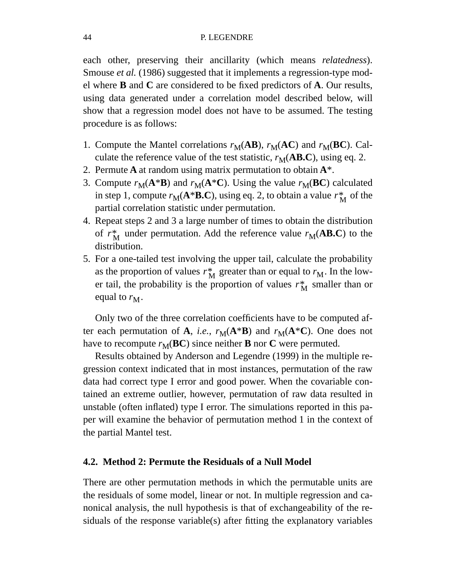each other, preserving their ancillarity (which means *relatedness*). Smouse *et al.* (1986) suggested that it implements a regression-type model where **B** and **C** are considered to be fixed predictors of **A**. Our results, using data generated under a correlation model described below, will show that a regression model does not have to be assumed. The testing procedure is as follows:

- 1. Compute the Mantel correlations  $r_M(AB)$ ,  $r_M(AC)$  and  $r_M(BC)$ . Calculate the reference value of the test statistic,  $r_M(AB.C)$ , using eq. 2.
- 2. Permute **A** at random using matrix permutation to obtain **A**\*.
- 3. Compute  $r_M(A*B)$  and  $r_M(A*C)$ . Using the value  $r_M(BC)$  calculated in step 1, compute  $r_M(A^*B.C)$ , using eq. 2, to obtain a value  $r_M^*$  of the partial correlation statistic under permutation.
- 4. Repeat steps 2 and 3 a large number of times to obtain the distribution of  $r_M^*$  under permutation. Add the reference value  $r_M(AB.C)$  to the distribution.
- 5. For a one-tailed test involving the upper tail, calculate the probability as the proportion of values  $r_M^*$  greater than or equal to  $r_M$ . In the lower tail, the probability is the proportion of values  $r_M^*$  smaller than or equal to  $r_{\rm M}$ .

Only two of the three correlation coefficients have to be computed after each permutation of **A**, *i.e.*,  $r_M(A*B)$  and  $r_M(A*C)$ . One does not have to recompute  $r_M(BC)$  since neither **B** nor **C** were permuted.

Results obtained by Anderson and Legendre (1999) in the multiple regression context indicated that in most instances, permutation of the raw data had correct type I error and good power. When the covariable contained an extreme outlier, however, permutation of raw data resulted in unstable (often inflated) type I error. The simulations reported in this paper will examine the behavior of permutation method 1 in the context of the partial Mantel test.

# **4.2. Method 2: Permute the Residuals of a Null Model**

There are other permutation methods in which the permutable units are the residuals of some model, linear or not. In multiple regression and canonical analysis, the null hypothesis is that of exchangeability of the residuals of the response variable(s) after fitting the explanatory variables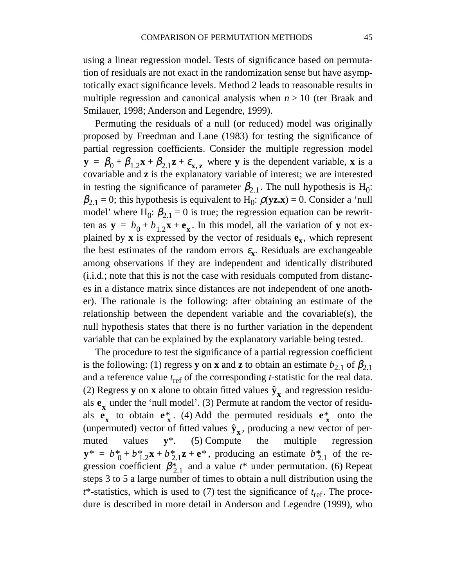using a linear regression model. Tests of significance based on permutation of residuals are not exact in the randomization sense but have asymptotically exact significance levels. Method 2 leads to reasonable results in multiple regression and canonical analysis when  $n > 10$  (ter Braak and Smilauer, 1998; Anderson and Legendre, 1999).

Permuting the residuals of a null (or reduced) model was originally proposed by Freedman and Lane (1983) for testing the significance of partial regression coefficients. Consider the multiple regression model  $\mathbf{y} = \beta_0 + \beta_{1,2}\mathbf{x} + \beta_{2,1}\mathbf{z} + \varepsilon_{\mathbf{x}, \mathbf{z}}$  where **y** is the dependent variable, **x** is a covariable and **z** is the explanatory variable of interest; we are interested in testing the significance of parameter  $\beta_{2,1}$ . The null hypothesis is H<sub>0</sub>:  $\beta_{2,1} = 0$ ; this hypothesis is equivalent to H<sub>0</sub>:  $\rho(\mathbf{yz}.\mathbf{x}) = 0$ . Consider a 'null model' where H<sub>0</sub>:  $\beta_{2,1} = 0$  is true; the regression equation can be rewritten as  $y = b_0 + b_{1,2}x + e_x$ . In this model, all the variation of y not explained by **x** is expressed by the vector of residuals  $\mathbf{e}_x$ , which represent the best estimates of the random errors  $\varepsilon_{\mathbf{x}}$ . Residuals are exchangeable among observations if they are independent and identically distributed (i.i.d.; note that this is not the case with residuals computed from distances in a distance matrix since distances are not independent of one another). The rationale is the following: after obtaining an estimate of the relationship between the dependent variable and the covariable(s), the null hypothesis states that there is no further variation in the dependent variable that can be explained by the explanatory variable being tested.

The procedure to test the significance of a partial regression coefficient is the following: (1) regress **y** on **x** and **z** to obtain an estimate  $b_{2,1}$  of  $\beta_{2,1}$ and a reference value *t*ref of the corresponding *t*-statistic for the real data. (2) Regress **y** on **x** alone to obtain fitted values  $\hat{\mathbf{y}}_{\mathbf{x}}$  and regression residuals  $\mathbf{e}_{\mathbf{x}}$  under the 'null model'. (3) Permute at random the vector of residuals  $\mathbf{e}_x^*$  to obtain  $\mathbf{e}_x^*$ . (4) Add the permuted residuals  $\mathbf{e}_x^*$  onto the (unpermuted) vector of fitted values  $\hat{y}_x$ , producing a new vector of permuted values **y**\*. (5) Compute the multiple regression  $y^* = b^*_{0} + b^*_{1,2}x + b^*_{2,1}z + e^*$ , producing an estimate  $b^*_{2,1}$  of the regression coefficient  $\beta_{2,1}^*$  and a value  $t^*$  under permutation. (6) Repeat steps 3 to 5 a large number of times to obtain a null distribution using the  $t^*$ -statistics, which is used to (7) test the significance of  $t_{\text{ref}}$ . The procedure is described in more detail in Anderson and Legendre (1999), who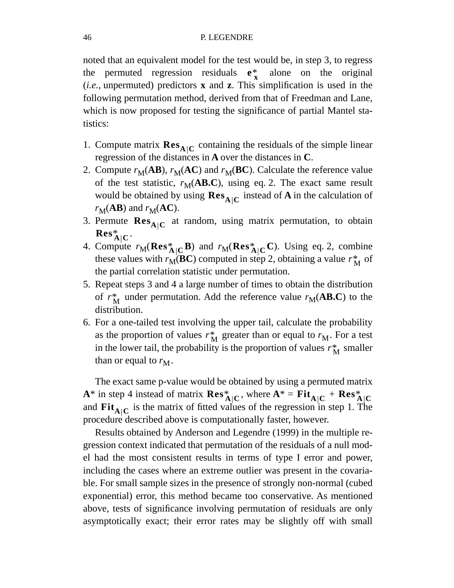noted that an equivalent model for the test would be, in step 3, to regress the permuted regression residuals  $e^*_{x}$  alone on the original (*i.e.*, unpermuted) predictors **x** and **z**. This simplification is used in the following permutation method, derived from that of Freedman and Lane, which is now proposed for testing the significance of partial Mantel statistics:

- 1. Compute matrix  $\mathbf{Res}_{A|C}$  containing the residuals of the simple linear regression of the distances in **A** over the distances in **C**.
- 2. Compute  $r_M(AB)$ ,  $r_M(AC)$  and  $r_M(BC)$ . Calculate the reference value of the test statistic,  $r_M(AB.C)$ , using eq. 2. The exact same result would be obtained by using  $\mathbf{Res}_{\mathbf{A}|\mathbf{C}}$  instead of  $\mathbf{A}$  in the calculation of  $r_M(AB)$  and  $r_M(AC)$ .
- 3. Permute  $\mathbf{Res}_{A|C}$  at random, using matrix permutation, to obtain  ${\rm Res}^*_{\mathbf{A}|\mathbf{C}}.$
- 4. Compute  $r_M(Res^*_{A|C}B)$  and  $r_M(Res^*_{A|C}C)$ . Using eq. 2, combine these values with  $r_M(BC)$  computed in step 2, obtaining a value  $r_M^*$  of the partial correlation statistic under permutation.
- 5. Repeat steps 3 and 4 a large number of times to obtain the distribution of  $r_M^*$  under permutation. Add the reference value  $r_M(AB.C)$  to the distribution.
- 6. For a one-tailed test involving the upper tail, calculate the probability as the proportion of values  $r_M^*$  greater than or equal to  $r_M$ . For a test in the lower tail, the probability is the proportion of values  $r_M^*$  smaller than or equal to  $r_{\rm M}$ .

The exact same p-value would be obtained by using a permuted matrix  $A^*$  in step 4 instead of matrix  $\text{Res}_{A|C}^*$ , where  $A^* = \text{Fit}_{A|C}^*$  + and  $\text{Fit}_{\text{AIC}}$  is the matrix of fitted values of the regression in step 1. The procedure described above is computationally faster, however.  $\mathbf{Res}_{\mathbf{A}|\mathbf{C}}^{*}$ , where  $\mathbf{A}^{*} = \mathbf{Fit}_{\mathbf{A}|\mathbf{C}}^{*}$  +  $\mathbf{Res}_{\mathbf{A}|\mathbf{C}}^{*}$  $\mathbf{Fit}_{\mathbf{A}|\mathbf{C}}$ 

Results obtained by Anderson and Legendre (1999) in the multiple regression context indicated that permutation of the residuals of a null model had the most consistent results in terms of type I error and power, including the cases where an extreme outlier was present in the covariable. For small sample sizes in the presence of strongly non-normal (cubed exponential) error, this method became too conservative. As mentioned above, tests of significance involving permutation of residuals are only asymptotically exact; their error rates may be slightly off with small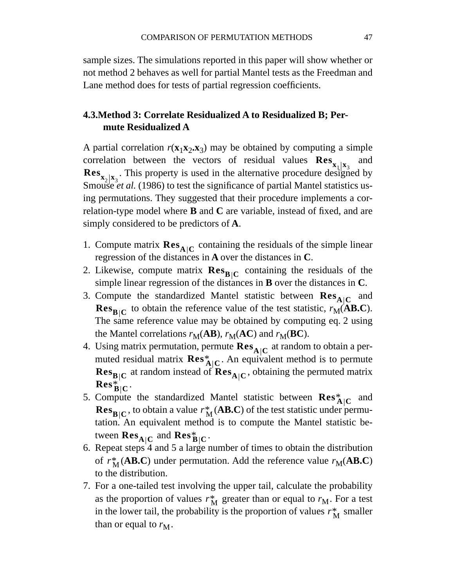sample sizes. The simulations reported in this paper will show whether or not method 2 behaves as well for partial Mantel tests as the Freedman and Lane method does for tests of partial regression coefficients.

# **4.3.Method 3: Correlate Residualized A to Residualized B; Permute Residualized A**

A partial correlation  $r(\mathbf{x}_1 \mathbf{x}_2, \mathbf{x}_3)$  may be obtained by computing a simple correlation between the vectors of residual values  $\mathbf{Res}_{\mathbf{x}_1|\mathbf{x}_3}$  and **Res**<sub> $\mathbf{x}_2 | \mathbf{x}_3$ . This property is used in the alternative procedure designed by</sub> Smouse *et al.* (1986) to test the significance of partial Mantel statistics using permutations. They suggested that their procedure implements a correlation-type model where **B** and **C** are variable, instead of fixed, and are simply considered to be predictors of **A**.

- 1. Compute matrix  $\mathbf{Res}_{\mathbf{A}|\mathbf{C}}$  containing the residuals of the simple linear regression of the distances in **A** over the distances in **C**.
- 2. Likewise, compute matrix  $\mathbf{Res}_{\mathbf{B}|\mathbf{C}}$  containing the residuals of the simple linear regression of the distances in **B** over the distances in **C**.
- 3. Compute the standardized Mantel statistic between  $\text{Res}_{A|C}$  and  $\text{Res}_{B|C}$  to obtain the reference value of the test statistic,  $r_M(\text{AB.C})$ . The same reference value may be obtained by computing eq. 2 using the Mantel correlations  $r_M(AB)$ ,  $r_M(AC)$  and  $r_M(BC)$ .
- 4. Using matrix permutation, permute  $\mathbf{Res}_{\mathbf{A}|\mathbf{C}}$  at random to obtain a permuted residual matrix  $\text{Res}_{A|C}^*$ . An equivalent method is to permute  $\text{Res}_{B|C}$  at random instead of  $\text{Res}_{A|C}$ , obtaining the permuted matrix  ${\bf Res^*_{B|C}}$ .
- 5. Compute the standardized Mantel statistic between  $\mathbf{Res}_{A|C}^*$  and  ${\bf Res}_{{\bf B}|\bf C}$ , to obtain a value  $r^*_{\bf M}({\bf A}{\bf B}.{\bf C})$  of the test statistic under permutation. An equivalent method is to compute the Mantel statistic between  $\text{Res}_{A|C}$  and  $\text{Res}_{B|C}^*$ .
- 6. Repeat steps 4 and 5 a large number of times to obtain the distribution of  $r_M^*(AB.C)$  under permutation. Add the reference value  $r_M(AB.C)$ to the distribution.
- 7. For a one-tailed test involving the upper tail, calculate the probability as the proportion of values  $r_M^*$  greater than or equal to  $r_M$ . For a test in the lower tail, the probability is the proportion of values  $r_M^*$  smaller than or equal to  $r_{\rm M}$ .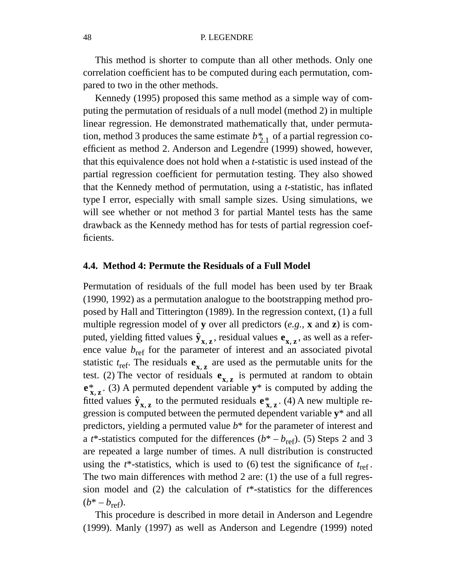This method is shorter to compute than all other methods. Only one correlation coefficient has to be computed during each permutation, compared to two in the other methods.

Kennedy (1995) proposed this same method as a simple way of computing the permutation of residuals of a null model (method 2) in multiple linear regression. He demonstrated mathematically that, under permutation, method 3 produces the same estimate  $b_{2,1}^*$  of a partial regression coefficient as method 2. Anderson and Legendre (1999) showed, however, that this equivalence does not hold when a *t*-statistic is used instead of the partial regression coefficient for permutation testing. They also showed that the Kennedy method of permutation, using a *t*-statistic, has inflated type I error, especially with small sample sizes. Using simulations, we will see whether or not method 3 for partial Mantel tests has the same drawback as the Kennedy method has for tests of partial regression coefficients.

#### **4.4. Method 4: Permute the Residuals of a Full Model**

Permutation of residuals of the full model has been used by ter Braak (1990, 1992) as a permutation analogue to the bootstrapping method proposed by Hall and Titterington (1989). In the regression context, (1) a full multiple regression model of **y** over all predictors (*e.g.*, **x** and **z**) is computed, yielding fitted values  $\hat{\mathbf{y}}_{\mathbf{x}, \mathbf{z}}$ , residual values  $\mathbf{e}_{\mathbf{x}, \mathbf{z}}$ , as well as a reference value  $b_{\text{ref}}$  for the parameter of interest and an associated pivotal statistic  $t_{\text{ref}}$ . The residuals  $\mathbf{e}_{\mathbf{x}, \mathbf{z}}$  are used as the permutable units for the test. (2) The vector of residuals  $\mathbf{e}_{\mathbf{x}, \mathbf{z}}$  is permuted at random to obtain  $e^*_{x, z}$ . (3) A permuted dependent variable  $y^*$  is computed by adding the fitted values  $\hat{\mathbf{y}}_{\mathbf{x}, \mathbf{z}}$  to the permuted residuals  $\mathbf{e}_{\mathbf{x}, \mathbf{z}}^*$ . (4) A new multiple regression is computed between the permuted dependent variable **y**\* and all predictors, yielding a permuted value *b*\* for the parameter of interest and a  $t^*$ -statistics computed for the differences  $(b^* - b_{ref})$ . (5) Steps 2 and 3 are repeated a large number of times. A null distribution is constructed using the  $t^*$ -statistics, which is used to (6) test the significance of  $t_{ref}$ . The two main differences with method 2 are: (1) the use of a full regression model and (2) the calculation of *t*\*-statistics for the differences  $(b^* - b_{ref}).$ 

This procedure is described in more detail in Anderson and Legendre (1999). Manly (1997) as well as Anderson and Legendre (1999) noted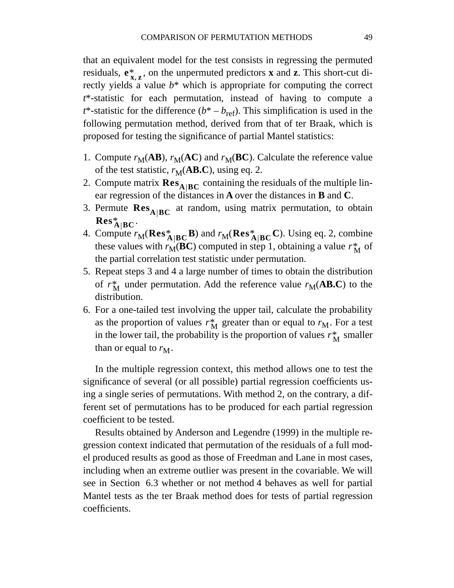that an equivalent model for the test consists in regressing the permuted residuals,  $\mathbf{e}_{\mathbf{x}, \mathbf{z}}^*$ , on the unpermuted predictors **x** and **z**. This short-cut directly yields a value *b*\* which is appropriate for computing the correct *t*\*-statistic for each permutation, instead of having to compute a *t*\*-statistic for the difference  $(b^* - b_{ref})$ . This simplification is used in the following permutation method, derived from that of ter Braak, which is proposed for testing the significance of partial Mantel statistics:

- 1. Compute  $r_M(AB)$ ,  $r_M(AC)$  and  $r_M(BC)$ . Calculate the reference value of the test statistic,  $r_M(AB.C)$ , using eq. 2.
- 2. Compute matrix  $\mathbf{Res}_{\mathbf{A}|\mathbf{B}\mathbf{C}}$  containing the residuals of the multiple linear regression of the distances in **A** over the distances in **B** and **C**.
- 3. Permute  $\text{Res}_{A|BC}$  at random, using matrix permutation, to obtain  ${\rm Res}^*_{\mathbf{A}|\mathbf{B}\mathbf{C}}.$
- 4. Compute  $r_M(Res_{A|BC}^*B)$  and  $r_M(Res_{A|BC}^*C)$ . Using eq. 2, combine these values with  $r_M(BC)$  computed in step 1, obtaining a value  $r_M^*$  of the partial correlation test statistic under permutation.
- 5. Repeat steps 3 and 4 a large number of times to obtain the distribution of  $r_M^*$  under permutation. Add the reference value  $r_M(AB.C)$  to the distribution.
- 6. For a one-tailed test involving the upper tail, calculate the probability as the proportion of values  $r_M^*$  greater than or equal to  $r_M$ . For a test in the lower tail, the probability is the proportion of values  $r_M^*$  smaller than or equal to  $r_{\rm M}$ .

In the multiple regression context, this method allows one to test the significance of several (or all possible) partial regression coefficients using a single series of permutations. With method 2, on the contrary, a different set of permutations has to be produced for each partial regression coefficient to be tested.

Results obtained by Anderson and Legendre (1999) in the multiple regression context indicated that permutation of the residuals of a full model produced results as good as those of Freedman and Lane in most cases, including when an extreme outlier was present in the covariable. We will see in Section 6.3 whether or not method 4 behaves as well for partial Mantel tests as the ter Braak method does for tests of partial regression coefficients.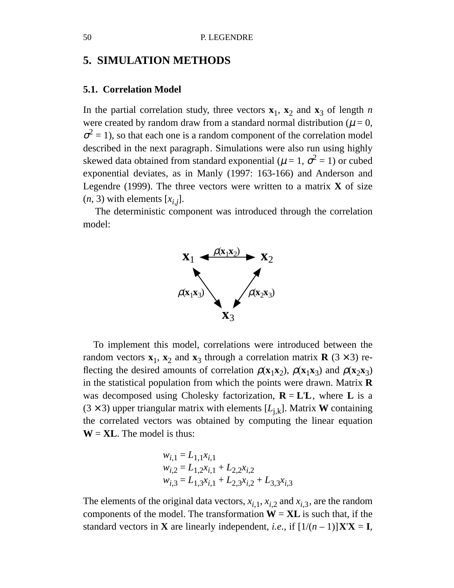# **5. SIMULATION METHODS**

# **5.1. Correlation Model**

In the partial correlation study, three vectors  $\mathbf{x}_1$ ,  $\mathbf{x}_2$  and  $\mathbf{x}_3$  of length *n* were created by random draw from a standard normal distribution ( $\mu = 0$ ,  $\sigma^2 = 1$ ), so that each one is a random component of the correlation model described in the next paragraph. Simulations were also run using highly skewed data obtained from standard exponential ( $\mu = 1$ ,  $\sigma^2 = 1$ ) or cubed exponential deviates, as in Manly (1997: 163-166) and Anderson and Legendre (1999). The three vectors were written to a matrix **X** of size  $(n, 3)$  with elements  $[x_{i,j}]$ .

The deterministic component was introduced through the correlation model:



To implement this model, correlations were introduced between the random vectors  $\mathbf{x}_1$ ,  $\mathbf{x}_2$  and  $\mathbf{x}_3$  through a correlation matrix **R** (3 × 3) reflecting the desired amounts of correlation  $\rho(\mathbf{x}_1 \mathbf{x}_2)$ ,  $\rho(\mathbf{x}_1 \mathbf{x}_3)$  and  $\rho(\mathbf{x}_2 \mathbf{x}_3)$ in the statistical population from which the points were drawn. Matrix **R** was decomposed using Cholesky factorization,  $\mathbf{R} = \mathbf{L}^T \mathbf{L}$ , where **L** is a  $(3 \times 3)$  upper triangular matrix with elements  $[L_{i,k}]$ . Matrix **W** containing the correlated vectors was obtained by computing the linear equation  $W = XL$ . The model is thus:

$$
w_{i,1} = L_{1,1}x_{i,1}
$$
  
\n
$$
w_{i,2} = L_{1,2}x_{i,1} + L_{2,2}x_{i,2}
$$
  
\n
$$
w_{i,3} = L_{1,3}x_{i,1} + L_{2,3}x_{i,2} + L_{3,3}x_{i,3}
$$

The elements of the original data vectors,  $x_{i,1}$ ,  $x_{i,2}$  and  $x_{i,3}$ , are the random components of the model. The transformation  $W = XL$  is such that, if the standard vectors in **X** are linearly independent, *i.e.*, if  $[1/(n-1)]$ **X'X** = **I**,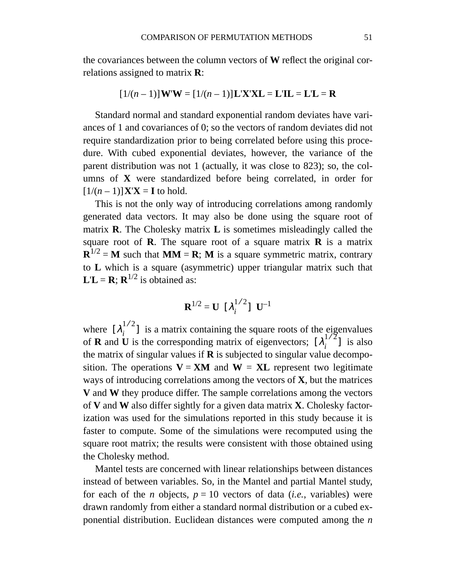the covariances between the column vectors of **W** reflect the original correlations assigned to matrix **R**:

$$
[1/(n-1)]\mathbf{W}'\mathbf{W} = [1/(n-1)]\mathbf{L}'\mathbf{X}'\mathbf{X}\mathbf{L} = \mathbf{L}'\mathbf{L} = \mathbf{L}'\mathbf{L} = \mathbf{R}
$$

Standard normal and standard exponential random deviates have variances of 1 and covariances of 0; so the vectors of random deviates did not require standardization prior to being correlated before using this procedure. With cubed exponential deviates, however, the variance of the parent distribution was not 1 (actually, it was close to 823); so, the columns of **X** were standardized before being correlated, in order for  $[1/(n-1)]$ **X'X** = **I** to hold.

This is not the only way of introducing correlations among randomly generated data vectors. It may also be done using the square root of matrix **R**. The Cholesky matrix **L** is sometimes misleadingly called the square root of **R**. The square root of a square matrix **R** is a matrix  $\mathbf{R}^{1/2} = \mathbf{M}$  such that  $\mathbf{M}\mathbf{M} = \mathbf{R}$ ; **M** is a square symmetric matrix, contrary to **L** which is a square (asymmetric) upper triangular matrix such that  $L'L = R$ ;  $R^{1/2}$  is obtained as:

$$
\mathbf{R}^{1/2} = \mathbf{U} \; [\; \lambda_i^{1/2}] \; \mathbf{U}^{-1}
$$

where  $\left[\lambda_i^{1/2}\right]$  is a matrix containing the square roots of the eigenvalues of **R** and **U** is the corresponding matrix of eigenvectors;  $[\lambda_i^{1/2}]$  is also the matrix of singular values if **R** is subjected to singular value decomposition. The operations  $V = \mathbf{X}M$  and  $W = \mathbf{X}L$  represent two legitimate ways of introducing correlations among the vectors of **X**, but the matrices **V** and **W** they produce differ. The sample correlations among the vectors of **V** and **W** also differ sightly for a given data matrix **X**. Cholesky factorization was used for the simulations reported in this study because it is faster to compute. Some of the simulations were recomputed using the square root matrix; the results were consistent with those obtained using the Cholesky method.

Mantel tests are concerned with linear relationships between distances instead of between variables. So, in the Mantel and partial Mantel study, for each of the *n* objects,  $p = 10$  vectors of data (*i.e.*, variables) were drawn randomly from either a standard normal distribution or a cubed exponential distribution. Euclidean distances were computed among the *n*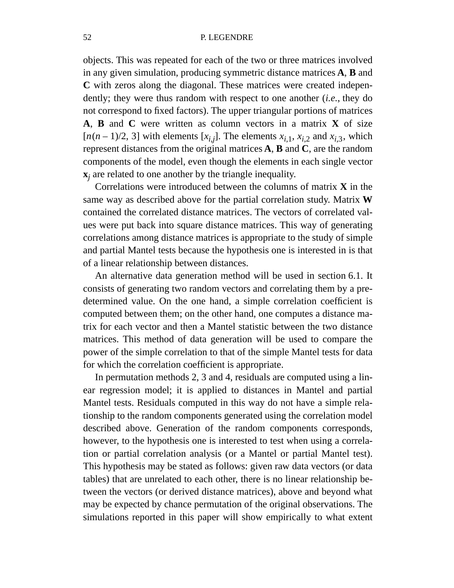#### 52 P. LEGENDRE

objects. This was repeated for each of the two or three matrices involved in any given simulation, producing symmetric distance matrices **A**, **B** and **C** with zeros along the diagonal. These matrices were created independently; they were thus random with respect to one another (*i.e.*, they do not correspond to fixed factors). The upper triangular portions of matrices **A**, **B** and **C** were written as column vectors in a matrix **X** of size  $[n(n-1)/2, 3]$  with elements  $[x_{i,j}]$ . The elements  $x_{i,1}$ ,  $x_{i,2}$  and  $x_{i,3}$ , which represent distances from the original matrices **A**, **B** and **C**, are the random components of the model, even though the elements in each single vector **x***j* are related to one another by the triangle inequality.

Correlations were introduced between the columns of matrix **X** in the same way as described above for the partial correlation study. Matrix **W** contained the correlated distance matrices. The vectors of correlated values were put back into square distance matrices. This way of generating correlations among distance matrices is appropriate to the study of simple and partial Mantel tests because the hypothesis one is interested in is that of a linear relationship between distances.

An alternative data generation method will be used in section 6.1. It consists of generating two random vectors and correlating them by a predetermined value. On the one hand, a simple correlation coefficient is computed between them; on the other hand, one computes a distance matrix for each vector and then a Mantel statistic between the two distance matrices. This method of data generation will be used to compare the power of the simple correlation to that of the simple Mantel tests for data for which the correlation coefficient is appropriate.

In permutation methods 2, 3 and 4, residuals are computed using a linear regression model; it is applied to distances in Mantel and partial Mantel tests. Residuals computed in this way do not have a simple relationship to the random components generated using the correlation model described above. Generation of the random components corresponds, however, to the hypothesis one is interested to test when using a correlation or partial correlation analysis (or a Mantel or partial Mantel test). This hypothesis may be stated as follows: given raw data vectors (or data tables) that are unrelated to each other, there is no linear relationship between the vectors (or derived distance matrices), above and beyond what may be expected by chance permutation of the original observations. The simulations reported in this paper will show empirically to what extent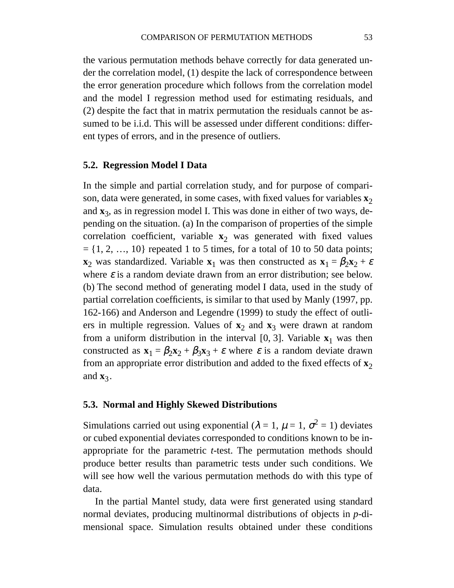the various permutation methods behave correctly for data generated under the correlation model, (1) despite the lack of correspondence between the error generation procedure which follows from the correlation model and the model I regression method used for estimating residuals, and (2) despite the fact that in matrix permutation the residuals cannot be assumed to be i.i.d. This will be assessed under different conditions: different types of errors, and in the presence of outliers.

#### **5.2. Regression Model I Data**

In the simple and partial correlation study, and for purpose of comparison, data were generated, in some cases, with fixed values for variables  $\mathbf{x}_2$ and **x**3, as in regression model I. This was done in either of two ways, depending on the situation. (a) In the comparison of properties of the simple correlation coefficient, variable  $\mathbf{x}_2$  was generated with fixed values  $= \{1, 2, \ldots, 10\}$  repeated 1 to 5 times, for a total of 10 to 50 data points; **x**<sub>2</sub> was standardized. Variable **x**<sub>1</sub> was then constructed as  $\mathbf{x}_1 = \beta_2 \mathbf{x}_2 + \epsilon$ where  $\varepsilon$  is a random deviate drawn from an error distribution; see below. (b) The second method of generating model I data, used in the study of partial correlation coefficients, is similar to that used by Manly (1997, pp. 162-166) and Anderson and Legendre (1999) to study the effect of outliers in multiple regression. Values of  $x_2$  and  $x_3$  were drawn at random from a uniform distribution in the interval  $[0, 3]$ . Variable  $\mathbf{x}_1$  was then constructed as  $\mathbf{x}_1 = \beta_2 \mathbf{x}_2 + \beta_3 \mathbf{x}_3 + \varepsilon$  where  $\varepsilon$  is a random deviate drawn from an appropriate error distribution and added to the fixed effects of  $\mathbf{x}_2$ and  $\mathbf{x}_3$ .

### **5.3. Normal and Highly Skewed Distributions**

Simulations carried out using exponential ( $\lambda = 1$ ,  $\mu = 1$ ,  $\sigma^2 = 1$ ) deviates or cubed exponential deviates corresponded to conditions known to be inappropriate for the parametric *t*-test. The permutation methods should produce better results than parametric tests under such conditions. We will see how well the various permutation methods do with this type of data.

In the partial Mantel study, data were first generated using standard normal deviates, producing multinormal distributions of objects in *p*-dimensional space. Simulation results obtained under these conditions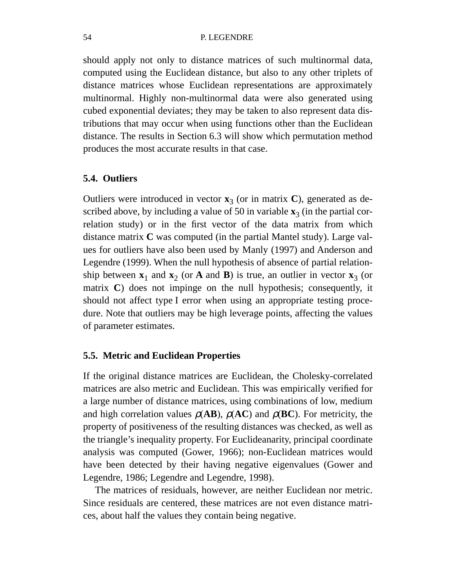#### 54 P. LEGENDRE

should apply not only to distance matrices of such multinormal data, computed using the Euclidean distance, but also to any other triplets of distance matrices whose Euclidean representations are approximately multinormal. Highly non-multinormal data were also generated using cubed exponential deviates; they may be taken to also represent data distributions that may occur when using functions other than the Euclidean distance. The results in Section 6.3 will show which permutation method produces the most accurate results in that case.

# **5.4. Outliers**

Outliers were introduced in vector  $\mathbf{x}_3$  (or in matrix **C**), generated as described above, by including a value of 50 in variable  $\mathbf{x}_3$  (in the partial correlation study) or in the first vector of the data matrix from which distance matrix **C** was computed (in the partial Mantel study). Large values for outliers have also been used by Manly (1997) and Anderson and Legendre (1999). When the null hypothesis of absence of partial relationship between  $\mathbf{x}_1$  and  $\mathbf{x}_2$  (or **A** and **B**) is true, an outlier in vector  $\mathbf{x}_3$  (or matrix **C**) does not impinge on the null hypothesis; consequently, it should not affect type I error when using an appropriate testing procedure. Note that outliers may be high leverage points, affecting the values of parameter estimates.

# **5.5. Metric and Euclidean Properties**

If the original distance matrices are Euclidean, the Cholesky-correlated matrices are also metric and Euclidean. This was empirically verified for a large number of distance matrices, using combinations of low, medium and high correlation values  $\rho$ (AB),  $\rho$ (AC) and  $\rho$ (BC). For metricity, the property of positiveness of the resulting distances was checked, as well as the triangle's inequality property. For Euclideanarity, principal coordinate analysis was computed (Gower, 1966); non-Euclidean matrices would have been detected by their having negative eigenvalues (Gower and Legendre, 1986; Legendre and Legendre, 1998).

The matrices of residuals, however, are neither Euclidean nor metric. Since residuals are centered, these matrices are not even distance matrices, about half the values they contain being negative.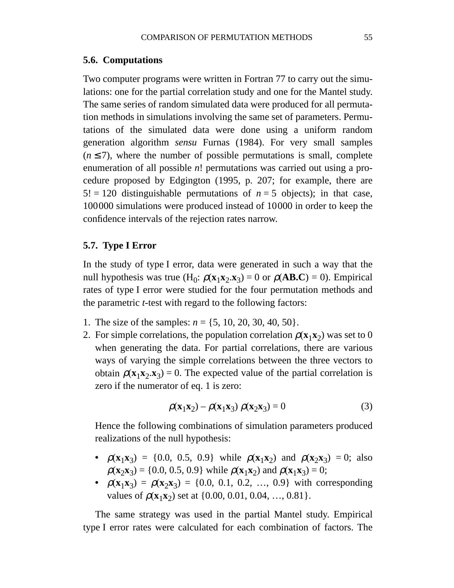#### **5.6. Computations**

Two computer programs were written in Fortran 77 to carry out the simulations: one for the partial correlation study and one for the Mantel study. The same series of random simulated data were produced for all permutation methods in simulations involving the same set of parameters. Permutations of the simulated data were done using a uniform random generation algorithm *sensu* Furnas (1984). For very small samples  $(n \le 7)$ , where the number of possible permutations is small, complete enumeration of all possible *n*! permutations was carried out using a procedure proposed by Edgington (1995, p. 207; for example, there are  $5! = 120$  distinguishable permutations of  $n = 5$  objects); in that case, 100000 simulations were produced instead of 10000 in order to keep the confidence intervals of the rejection rates narrow.

## **5.7. Type I Error**

In the study of type I error, data were generated in such a way that the null hypothesis was true  $(H_0: \rho(\mathbf{x}_1 \mathbf{x}_2 \cdot \mathbf{x}_3) = 0$  or  $\rho(\mathbf{AB.C}) = 0$ ). Empirical rates of type I error were studied for the four permutation methods and the parametric *t*-test with regard to the following factors:

- 1. The size of the samples: *n* = {5, 10, 20, 30, 40, 50}.
- 2. For simple correlations, the population correlation  $\rho(\mathbf{x}_1 \mathbf{x}_2)$  was set to 0 when generating the data. For partial correlations, there are various ways of varying the simple correlations between the three vectors to obtain  $\rho(\mathbf{x}_1 \mathbf{x}_2 \cdot \mathbf{x}_3) = 0$ . The expected value of the partial correlation is zero if the numerator of eq. 1 is zero:

$$
\rho(\mathbf{x}_1 \mathbf{x}_2) - \rho(\mathbf{x}_1 \mathbf{x}_3) \rho(\mathbf{x}_2 \mathbf{x}_3) = 0
$$
\n(3)

Hence the following combinations of simulation parameters produced realizations of the null hypothesis:

- $\rho(\mathbf{x}_1 \mathbf{x}_3) = \{0.0, 0.5, 0.9\}$  while  $\rho(\mathbf{x}_1 \mathbf{x}_2)$  and  $\rho(\mathbf{x}_2 \mathbf{x}_3) = 0$ ; also  $\rho(\mathbf{x}_2 \mathbf{x}_3) = \{0.0, 0.5, 0.9\}$  while  $\rho(\mathbf{x}_1 \mathbf{x}_2)$  and  $\rho(\mathbf{x}_1 \mathbf{x}_3) = 0$ ;
- $\rho(\mathbf{x}_1 \mathbf{x}_3) = \rho(\mathbf{x}_2 \mathbf{x}_3) = \{0.0, 0.1, 0.2, ..., 0.9\}$  with corresponding values of  $\rho(\mathbf{x}_1 \mathbf{x}_2)$  set at {0.00, 0.01, 0.04, …, 0.81}.

The same strategy was used in the partial Mantel study. Empirical type I error rates were calculated for each combination of factors. The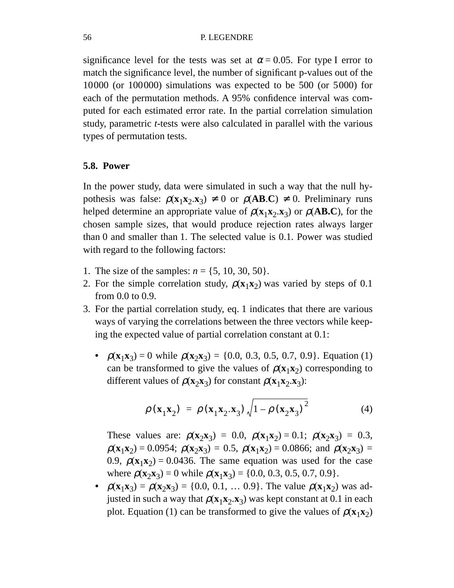significance level for the tests was set at  $\alpha = 0.05$ . For type I error to match the significance level, the number of significant p-values out of the 10000 (or 100000) simulations was expected to be 500 (or 5000) for each of the permutation methods. A 95% confidence interval was computed for each estimated error rate. In the partial correlation simulation study, parametric *t*-tests were also calculated in parallel with the various types of permutation tests.

## **5.8. Power**

In the power study, data were simulated in such a way that the null hypothesis was false:  $\rho$ (**x**<sub>1</sub>**x**<sub>2</sub>.**x**<sub>3</sub>)  $\neq$  0 or  $\rho$ (**AB.C**)  $\neq$  0. Preliminary runs helped determine an appropriate value of  $\rho$ (**x**<sub>1</sub>**x**<sub>2</sub>.**x**<sub>3</sub>) or  $\rho$ (**AB.C**), for the chosen sample sizes, that would produce rejection rates always larger than 0 and smaller than 1. The selected value is 0.1. Power was studied with regard to the following factors:

- 1. The size of the samples:  $n = \{5, 10, 30, 50\}.$
- 2. For the simple correlation study,  $\rho(\mathbf{x}_1 \mathbf{x}_2)$  was varied by steps of 0.1 from 0.0 to 0.9.
- 3. For the partial correlation study, eq. 1 indicates that there are various ways of varying the correlations between the three vectors while keeping the expected value of partial correlation constant at 0.1:
	- $\rho(\mathbf{x}_1 \mathbf{x}_3) = 0$  while  $\rho(\mathbf{x}_2 \mathbf{x}_3) = \{0.0, 0.3, 0.5, 0.7, 0.9\}$ . Equation (1) can be transformed to give the values of  $\rho(\mathbf{x}_1 \mathbf{x}_2)$  corresponding to different values of  $\rho(\mathbf{x}_2 \mathbf{x}_3)$  for constant  $\rho(\mathbf{x}_1 \mathbf{x}_2 \mathbf{x}_3)$ :

$$
\rho(\mathbf{x}_1 \mathbf{x}_2) = \rho(\mathbf{x}_1 \mathbf{x}_2 \mathbf{x}_3) \sqrt{1 - \rho(\mathbf{x}_2 \mathbf{x}_3)^2}
$$
 (4)

These values are:  $\rho(\mathbf{x}_2 \mathbf{x}_3) = 0.0$ ,  $\rho(\mathbf{x}_1 \mathbf{x}_2) = 0.1$ ;  $\rho(\mathbf{x}_2 \mathbf{x}_3) = 0.3$ ,  $\rho(\mathbf{x}_1 \mathbf{x}_2) = 0.0954$ ;  $\rho(\mathbf{x}_2 \mathbf{x}_3) = 0.5$ ,  $\rho(\mathbf{x}_1 \mathbf{x}_2) = 0.0866$ ; and  $\rho(\mathbf{x}_2 \mathbf{x}_3) =$ 0.9,  $\rho(\mathbf{x}_1 \mathbf{x}_2) = 0.0436$ . The same equation was used for the case where  $\rho(\mathbf{x}_2 \mathbf{x}_3) = 0$  while  $\rho(\mathbf{x}_1 \mathbf{x}_3) = \{0.0, 0.3, 0.5, 0.7, 0.9\}.$ 

•  $\rho(\mathbf{x}_1 \mathbf{x}_3) = \rho(\mathbf{x}_2 \mathbf{x}_3) = \{0.0, 0.1, \dots, 0.9\}$ . The value  $\rho(\mathbf{x}_1 \mathbf{x}_2)$  was adjusted in such a way that  $\rho(\mathbf{x}_1 \mathbf{x}_2, \mathbf{x}_3)$  was kept constant at 0.1 in each plot. Equation (1) can be transformed to give the values of  $\rho(\mathbf{x}_1 \mathbf{x}_2)$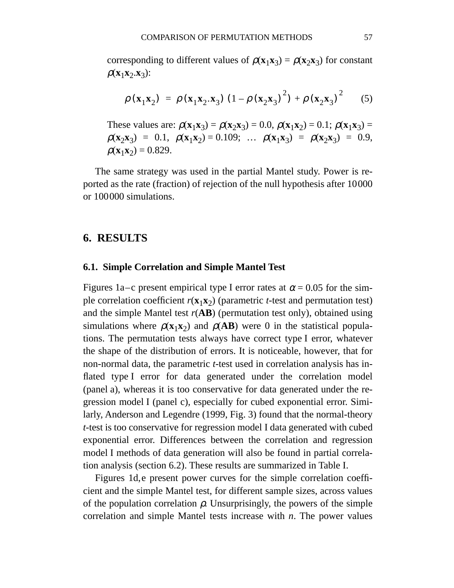corresponding to different values of  $\rho(\mathbf{x}_1 \mathbf{x}_3) = \rho(\mathbf{x}_2 \mathbf{x}_3)$  for constant  $\rho$ (**x**<sub>1</sub>**x**<sub>2</sub>.**x**<sub>3</sub>):

$$
\rho(\mathbf{x}_1 \mathbf{x}_2) = \rho(\mathbf{x}_1 \mathbf{x}_2 \mathbf{x}_3) (1 - \rho(\mathbf{x}_2 \mathbf{x}_3)^2) + \rho(\mathbf{x}_2 \mathbf{x}_3)^2
$$
 (5)

These values are:  $\rho(\mathbf{x}_1 \mathbf{x}_3) = \rho(\mathbf{x}_2 \mathbf{x}_3) = 0.0$ ,  $\rho(\mathbf{x}_1 \mathbf{x}_2) = 0.1$ ;  $\rho(\mathbf{x}_1 \mathbf{x}_3) = 0.1$  $\rho(\mathbf{x}_2 \mathbf{x}_3) = 0.1$ ,  $\rho(\mathbf{x}_1 \mathbf{x}_2) = 0.109$ ; …  $\rho(\mathbf{x}_1 \mathbf{x}_3) = \rho(\mathbf{x}_2 \mathbf{x}_3) = 0.9$ ,  $\rho(\mathbf{x}_1 \mathbf{x}_2) = 0.829.$ 

The same strategy was used in the partial Mantel study. Power is reported as the rate (fraction) of rejection of the null hypothesis after 10000 or 100000 simulations.

# **6. RESULTS**

# **6.1. Simple Correlation and Simple Mantel Test**

Figures 1a–c present empirical type I error rates at  $\alpha$  = 0.05 for the simple correlation coefficient  $r(\mathbf{x}_1 \mathbf{x}_2)$  (parametric *t*-test and permutation test) and the simple Mantel test  $r(AB)$  (permutation test only), obtained using simulations where  $\rho(\mathbf{x}_1 \mathbf{x}_2)$  and  $\rho(\mathbf{AB})$  were 0 in the statistical populations. The permutation tests always have correct type I error, whatever the shape of the distribution of errors. It is noticeable, however, that for non-normal data, the parametric *t*-test used in correlation analysis has inflated type I error for data generated under the correlation model (panel a), whereas it is too conservative for data generated under the regression model I (panel c), especially for cubed exponential error. Similarly, Anderson and Legendre (1999, Fig. 3) found that the normal-theory *t*-test is too conservative for regression model I data generated with cubed exponential error. Differences between the correlation and regression model I methods of data generation will also be found in partial correlation analysis (section 6.2). These results are summarized in Table I.

Figures 1d,e present power curves for the simple correlation coefficient and the simple Mantel test, for different sample sizes, across values of the population correlation  $\rho$ . Unsurprisingly, the powers of the simple correlation and simple Mantel tests increase with *n*. The power values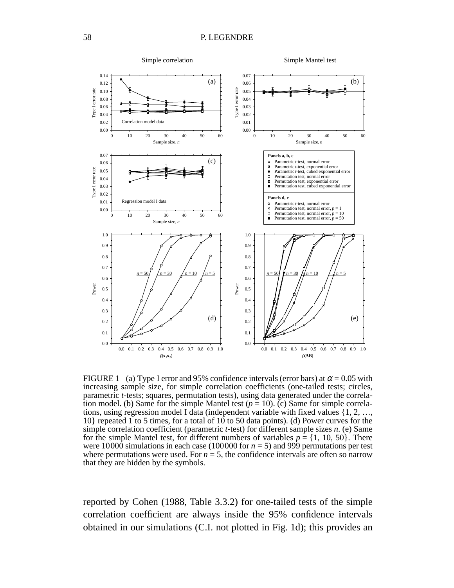

FIGURE 1 (a) Type I error and 95% confidence intervals (error bars) at  $\alpha$  = 0.05 with increasing sample size, for simple correlation coefficients (one-tailed tests; circles, parametric *t*-tests; squares, permutation tests), using data generated under the correlation model. (b) Same for the simple Mantel test  $(p = 10)$ . (c) Same for simple correlations, using regression model I data (independent variable with fixed values {1, 2, …, 10} repeated 1 to 5 times, for a total of 10 to 50 data points). (d) Power curves for the simple correlation coefficient (parametric *t*-test) for different sample sizes *n*. (e) Same for the simple Mantel test, for different numbers of variables  $p = \{1, 10, 50\}$ . There were 10000 simulations in each case (100000 for  $n = 5$ ) and 999 permutations per test where permutations were used. For  $n = 5$ , the confidence intervals are often so narrow that they are hidden by the symbols.

reported by Cohen (1988, Table 3.3.2) for one-tailed tests of the simple correlation coefficient are always inside the 95% confidence intervals obtained in our simulations (C.I. not plotted in Fig. 1d); this provides an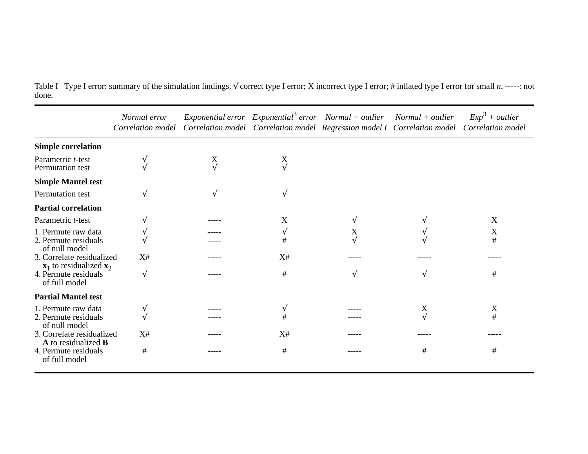Table I Type I error: summary of the simulation findings. √ correct type I error; X incorrect type I error; # inflated type I error for small *n*. -----: not done.

|                                                                      | Normal error |                      |                      | Exponential error Exponential <sup>3</sup> error Normal + outlier Normal + outlier<br>Correlation model Correlation model Correlation model Regression model I Correlation model Correlation model |                      | $Exp3 + outlier$ |
|----------------------------------------------------------------------|--------------|----------------------|----------------------|----------------------------------------------------------------------------------------------------------------------------------------------------------------------------------------------------|----------------------|------------------|
| <b>Simple correlation</b>                                            |              |                      |                      |                                                                                                                                                                                                    |                      |                  |
| Parametric t-test<br><b>Permutation test</b>                         |              | $\frac{X}{\sqrt{2}}$ | $\frac{X}{\sqrt{2}}$ |                                                                                                                                                                                                    |                      |                  |
| <b>Simple Mantel test</b>                                            |              |                      |                      |                                                                                                                                                                                                    |                      |                  |
| Permutation test                                                     |              |                      | V                    |                                                                                                                                                                                                    |                      |                  |
| <b>Partial correlation</b>                                           |              |                      |                      |                                                                                                                                                                                                    |                      |                  |
| Parametric <i>t</i> -test                                            |              |                      | X                    |                                                                                                                                                                                                    |                      | X                |
| 1. Permute raw data<br>2. Permute residuals<br>of null model         |              |                      | #                    | $X_{\!\scriptscriptstyle\gamma}$                                                                                                                                                                   |                      | X<br>$\#$        |
| 3. Correlate residualized                                            | X#           |                      | X#                   |                                                                                                                                                                                                    |                      |                  |
| $x_1$ to residualized $x_2$<br>4. Permute residuals<br>of full model | $\sqrt{ }$   |                      | #                    |                                                                                                                                                                                                    |                      | #                |
| <b>Partial Mantel test</b>                                           |              |                      |                      |                                                                                                                                                                                                    |                      |                  |
| 1. Permute raw data<br>2. Permute residuals<br>of null model         |              |                      | #                    |                                                                                                                                                                                                    | $\frac{X}{\sqrt{2}}$ | X<br>#           |
| 3. Correlate residualized<br>A to residualized <b>B</b>              | X#           |                      | X#                   |                                                                                                                                                                                                    |                      |                  |
| 4. Permute residuals<br>of full model                                | #            |                      | $\#$                 |                                                                                                                                                                                                    | $\#$                 | #                |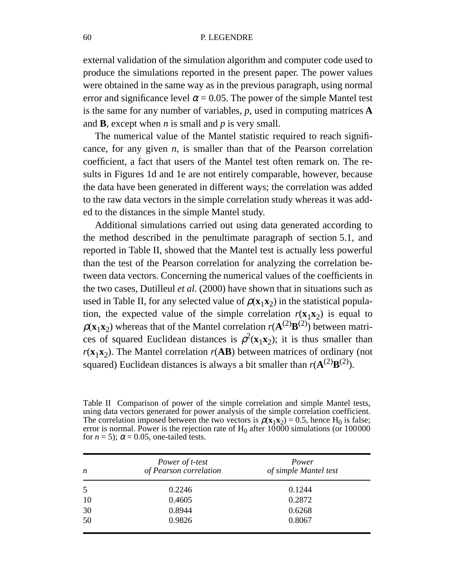#### 60 P. LEGENDRE

external validation of the simulation algorithm and computer code used to produce the simulations reported in the present paper. The power values were obtained in the same way as in the previous paragraph, using normal error and significance level  $\alpha$  = 0.05. The power of the simple Mantel test is the same for any number of variables, *p*, used in computing matrices **A** and **B**, except when *n* is small and *p* is very small.

The numerical value of the Mantel statistic required to reach significance, for any given  $n$ , is smaller than that of the Pearson correlation coefficient, a fact that users of the Mantel test often remark on. The results in Figures 1d and 1e are not entirely comparable, however, because the data have been generated in different ways; the correlation was added to the raw data vectors in the simple correlation study whereas it was added to the distances in the simple Mantel study.

Additional simulations carried out using data generated according to the method described in the penultimate paragraph of section 5.1, and reported in Table II, showed that the Mantel test is actually less powerful than the test of the Pearson correlation for analyzing the correlation between data vectors. Concerning the numerical values of the coefficients in the two cases, Dutilleul *et al.* (2000) have shown that in situations such as used in Table II, for any selected value of  $\rho(\mathbf{x}_1 \mathbf{x}_2)$  in the statistical population, the expected value of the simple correlation  $r(\mathbf{x}_1 \mathbf{x}_2)$  is equal to  $\rho(\mathbf{x}_1 \mathbf{x}_2)$  whereas that of the Mantel correlation  $r(\mathbf{A}^{(2)} \mathbf{B}^{(2)})$  between matrices of squared Euclidean distances is  $\rho^2(\mathbf{x}_1 \mathbf{x}_2)$ ; it is thus smaller than  $r(\mathbf{x}_1 \mathbf{x}_2)$ . The Mantel correlation  $r(\mathbf{AB})$  between matrices of ordinary (not squared) Euclidean distances is always a bit smaller than  $r(A^{(2)}B^{(2)})$ .

Table II Comparison of power of the simple correlation and simple Mantel tests, using data vectors generated for power analysis of the simple correlation coefficient. The correlation imposed between the two vectors is  $\rho(\mathbf{x}_1 \mathbf{x}_2) = 0.5$ , hence H<sub>0</sub> is false; error is normal. Power is the rejection rate of  $H_0$  after 10000 simulations (or 100000 for  $n = 5$ );  $\alpha = 0.05$ , one-tailed tests.

| $\boldsymbol{n}$ | Power of t-test<br>of Pearson correlation | Power<br>of simple Mantel test |  |
|------------------|-------------------------------------------|--------------------------------|--|
| 5                | 0.2246                                    | 0.1244                         |  |
| 10               | 0.4605                                    | 0.2872                         |  |
| 30               | 0.8944                                    | 0.6268                         |  |
| 50               | 0.9826                                    | 0.8067                         |  |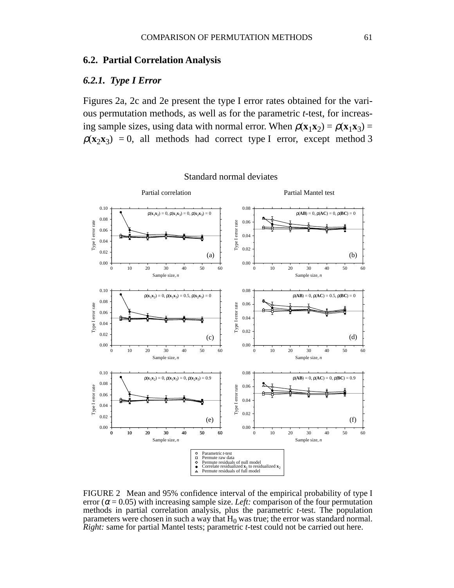## **6.2. Partial Correlation Analysis**

#### *6.2.1. Type I Error*

Figures 2a, 2c and 2e present the type I error rates obtained for the various permutation methods, as well as for the parametric *t*-test, for increasing sample sizes, using data with normal error. When  $\rho(\mathbf{x}_1 \mathbf{x}_2) = \rho(\mathbf{x}_1 \mathbf{x}_3) =$  $\rho(x_2x_3) = 0$ , all methods had correct type I error, except method 3



FIGURE 2 Mean and 95% confidence interval of the empirical probability of type I error  $(\alpha = 0.05)$  with increasing sample size. *Left:* comparison of the four permutation methods in partial correlation analysis, plus the parametric *t*-test. The population parameters were chosen in such a way that  $H_0$  was true; the error was standard normal. *Right:* same for partial Mantel tests; parametric *t*-test could not be carried out here.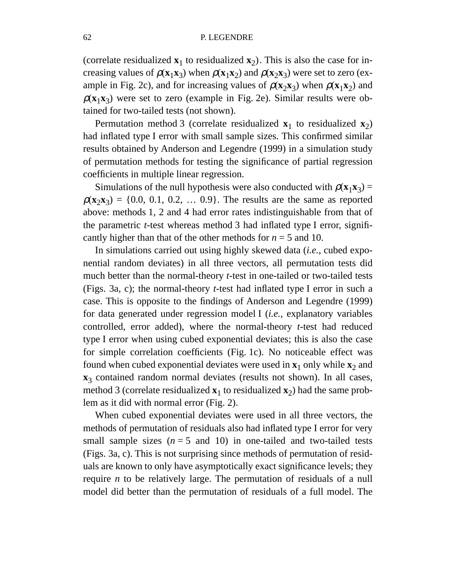(correlate residualized  $\mathbf{x}_1$  to residualized  $\mathbf{x}_2$ ). This is also the case for increasing values of  $\rho$ (**x**<sub>1</sub>**x**<sub>3</sub>) when  $\rho$ (**x**<sub>1</sub>**x**<sub>2</sub>) and  $\rho$ (**x**<sub>2</sub>**x**<sub>3</sub>) were set to zero (example in Fig. 2c), and for increasing values of  $\rho(\mathbf{x}_2 \mathbf{x}_3)$  when  $\rho(\mathbf{x}_1 \mathbf{x}_2)$  and  $\rho$ ( $\mathbf{x}_1 \mathbf{x}_3$ ) were set to zero (example in Fig. 2e). Similar results were obtained for two-tailed tests (not shown).

Permutation method 3 (correlate residualized  $\mathbf{x}_1$  to residualized  $\mathbf{x}_2$ ) had inflated type I error with small sample sizes. This confirmed similar results obtained by Anderson and Legendre (1999) in a simulation study of permutation methods for testing the significance of partial regression coefficients in multiple linear regression.

Simulations of the null hypothesis were also conducted with  $\rho(\mathbf{x}_1 \mathbf{x}_3) =$  $\rho(\mathbf{x}_2 \mathbf{x}_3) = \{0.0, 0.1, 0.2, \dots 0.9\}$ . The results are the same as reported above: methods 1, 2 and 4 had error rates indistinguishable from that of the parametric *t*-test whereas method 3 had inflated type I error, significantly higher than that of the other methods for  $n = 5$  and 10.

In simulations carried out using highly skewed data (*i.e.*, cubed exponential random deviates) in all three vectors, all permutation tests did much better than the normal-theory *t*-test in one-tailed or two-tailed tests (Figs. 3a, c); the normal-theory *t*-test had inflated type I error in such a case. This is opposite to the findings of Anderson and Legendre (1999) for data generated under regression model I (*i.e.*, explanatory variables controlled, error added), where the normal-theory *t*-test had reduced type I error when using cubed exponential deviates; this is also the case for simple correlation coefficients (Fig. 1c). No noticeable effect was found when cubed exponential deviates were used in  $x_1$  only while  $x_2$  and **x**3 contained random normal deviates (results not shown). In all cases, method 3 (correlate residualized  $\mathbf{x}_1$  to residualized  $\mathbf{x}_2$ ) had the same problem as it did with normal error (Fig. 2).

When cubed exponential deviates were used in all three vectors, the methods of permutation of residuals also had inflated type I error for very small sample sizes  $(n = 5 \text{ and } 10)$  in one-tailed and two-tailed tests (Figs. 3a, c). This is not surprising since methods of permutation of residuals are known to only have asymptotically exact significance levels; they require *n* to be relatively large. The permutation of residuals of a null model did better than the permutation of residuals of a full model. The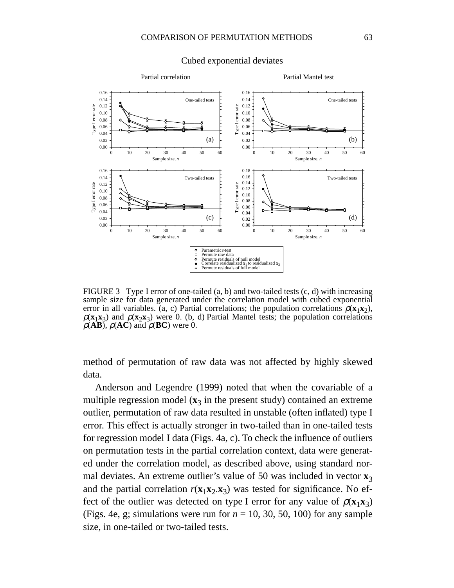

#### Cubed exponential deviates

FIGURE 3 Type I error of one-tailed  $(a, b)$  and two-tailed tests  $(c, d)$  with increasing sample size for data generated under the correlation model with cubed exponential error in all variables. (a, c) Partial correlations; the population correlations  $\rho(\mathbf{x}_1 \mathbf{x}_2)$ ,  $\rho$ (**x**<sub>1</sub>**x**<sub>3</sub>) and  $\rho$ (**x**<sub>2</sub>**x**<sub>3</sub>) were 0. (b, d) Partial Mantel tests; the population correlations  $\rho$ (**AB**),  $\rho$ (**AC**) and  $\rho$ (**BC**) were 0.

method of permutation of raw data was not affected by highly skewed data.

Anderson and Legendre (1999) noted that when the covariable of a multiple regression model  $(x_3$  in the present study) contained an extreme outlier, permutation of raw data resulted in unstable (often inflated) type I error. This effect is actually stronger in two-tailed than in one-tailed tests for regression model I data (Figs. 4a, c). To check the influence of outliers on permutation tests in the partial correlation context, data were generated under the correlation model, as described above, using standard normal deviates. An extreme outlier's value of 50 was included in vector  $\mathbf{x}_3$ and the partial correlation  $r(\mathbf{x}_1 \mathbf{x}_2, \mathbf{x}_3)$  was tested for significance. No effect of the outlier was detected on type I error for any value of  $\rho(\mathbf{x}_1 \mathbf{x}_3)$ (Figs. 4e, g; simulations were run for  $n = 10, 30, 50, 100$ ) for any sample size, in one-tailed or two-tailed tests.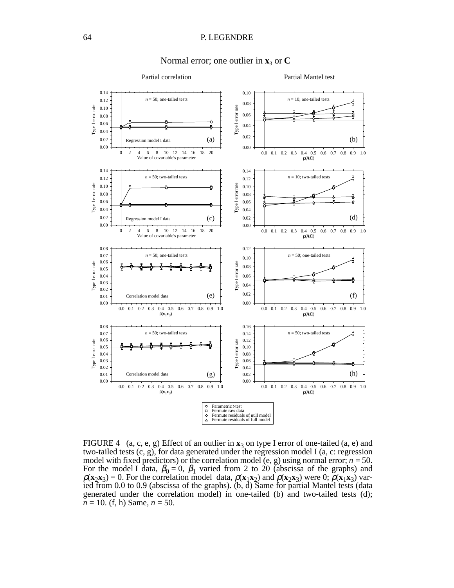

#### Normal error; one outlier in  $\mathbf{x}_3$  or **C**

FIGURE 4 (a, c, e, g) Effect of an outlier in  $\mathbf{x}_3$  on type I error of one-tailed (a, e) and two-tailed tests (c, g), for data generated under the regression model I (a, c: regression model with fixed predictors) or the correlation model (e, g) using normal error;  $n = 50$ . For the model I data,  $\beta_0 = 0$ ,  $\beta_1$  varied from 2 to 20 (abscissa of the graphs) and  $\rho(\mathbf{x}_2 \mathbf{x}_3) = 0$ . For the correlation model data,  $\rho(\mathbf{x}_1 \mathbf{x}_2)$  and  $\rho(\mathbf{x}_2 \mathbf{x}_3)$  were 0;  $\rho(\mathbf{x}_1 \mathbf{x}_3)$  varied from 0.0 to 0.9 (abscissa of the graphs). (b, d) Same for partial Mantel tests (data generated under the correlation model) in one-tailed (b) and two-tailed tests (d); *n* = 10. (f, h) Same, *n* = 50.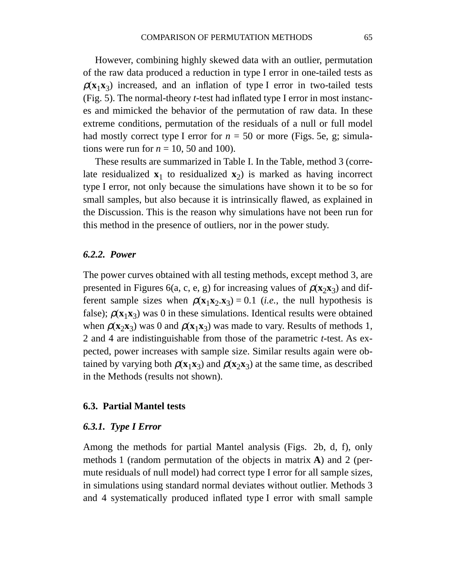However, combining highly skewed data with an outlier, permutation of the raw data produced a reduction in type I error in one-tailed tests as  $\rho$ ( $\mathbf{x}_1 \mathbf{x}_2$ ) increased, and an inflation of type I error in two-tailed tests (Fig. 5). The normal-theory *t*-test had inflated type I error in most instances and mimicked the behavior of the permutation of raw data. In these extreme conditions, permutation of the residuals of a null or full model had mostly correct type I error for  $n = 50$  or more (Figs. 5e, g; simulations were run for  $n = 10$ , 50 and 100).

These results are summarized in Table I. In the Table, method 3 (correlate residualized  $\mathbf{x}_1$  to residualized  $\mathbf{x}_2$ ) is marked as having incorrect type I error, not only because the simulations have shown it to be so for small samples, but also because it is intrinsically flawed, as explained in the Discussion. This is the reason why simulations have not been run for this method in the presence of outliers, nor in the power study.

#### *6.2.2. Power*

The power curves obtained with all testing methods, except method 3, are presented in Figures 6(a, c, e, g) for increasing values of  $\rho$ (**x**<sub>2</sub>**x**<sub>3</sub>) and different sample sizes when  $\rho$ (**x**<sub>1</sub>**x**<sub>2</sub>.**x**<sub>3</sub>) = 0.1 (*i.e.*, the null hypothesis is false);  $\rho(\mathbf{x}_1 \mathbf{x}_3)$  was 0 in these simulations. Identical results were obtained when  $\rho(\mathbf{x}_2 \mathbf{x}_3)$  was 0 and  $\rho(\mathbf{x}_1 \mathbf{x}_3)$  was made to vary. Results of methods 1, 2 and 4 are indistinguishable from those of the parametric *t*-test. As expected, power increases with sample size. Similar results again were obtained by varying both  $\rho(\mathbf{x}_1 \mathbf{x}_3)$  and  $\rho(\mathbf{x}_2 \mathbf{x}_3)$  at the same time, as described in the Methods (results not shown).

# **6.3. Partial Mantel tests**

### *6.3.1. Type I Error*

Among the methods for partial Mantel analysis (Figs. 2b, d, f), only methods 1 (random permutation of the objects in matrix **A**) and 2 (permute residuals of null model) had correct type I error for all sample sizes, in simulations using standard normal deviates without outlier. Methods 3 and 4 systematically produced inflated type I error with small sample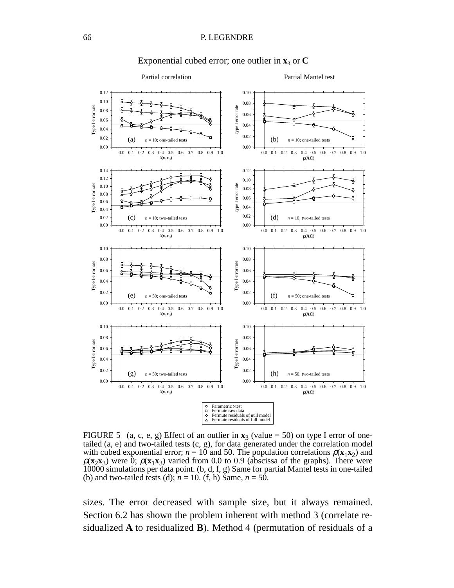

### Exponential cubed error; one outlier in  $\mathbf{x}_3$  or **C**

FIGURE 5 (a, c, e, g) Effect of an outlier in  $\mathbf{x}_3$  (value = 50) on type I error of onetailed (a, e) and two-tailed tests (c, g), for data generated under the correlation model with cubed exponential error;  $n = 10$  and 50. The population correlations  $\rho(\mathbf{x}_1 \mathbf{x}_2)$  and  $\rho(\mathbf{x}_2 \mathbf{x}_3)$  were 0;  $\rho(\mathbf{x}_1 \mathbf{x}_3)$  varied from 0.0 to 0.9 (abscissa of the graphs). There were 10000 simulations per data point. (b, d, f, g) Same for partial Mantel tests in one-tailed (b) and two-tailed tests (d);  $n = 10$ . (f, h) Same,  $n = 50$ .

sizes. The error decreased with sample size, but it always remained. Section 6.2 has shown the problem inherent with method 3 (correlate residualized **A** to residualized **B**). Method 4 (permutation of residuals of a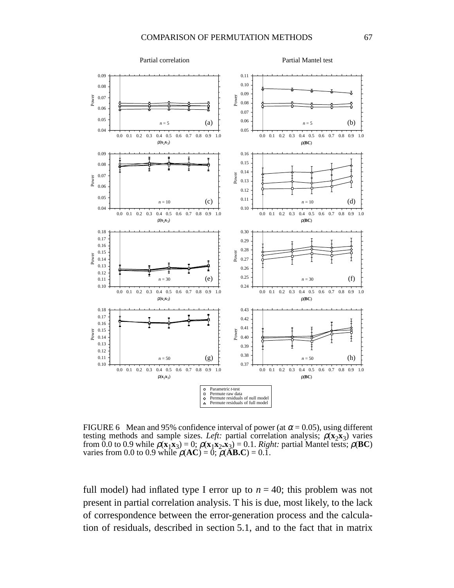

FIGURE 6 Mean and 95% confidence interval of power (at  $\alpha$  = 0.05), using different testing methods and sample sizes. *Left:* partial correlation analysis;  $\rho(\mathbf{x}_2 \mathbf{x}_3)$  varies from 0.0 to 0.9 while  $\rho(\mathbf{x}_1 \mathbf{x}_3) = 0$ ;  $\rho(\mathbf{x}_1 \mathbf{x}_2 \mathbf{x}_3) = 0.1$ . *Right:* partial Mantel tests;  $\rho(\mathbf{BC})$ varies from 0.0 to 0.9 while  $\rho$ (**AC**) = 0;  $\rho$ (**ÅB.C**) = 0.1.

full model) had inflated type I error up to  $n = 40$ ; this problem was not present in partial correlation analysis. T his is due, most likely, to the lack of correspondence between the error-generation process and the calculation of residuals, described in section 5.1, and to the fact that in matrix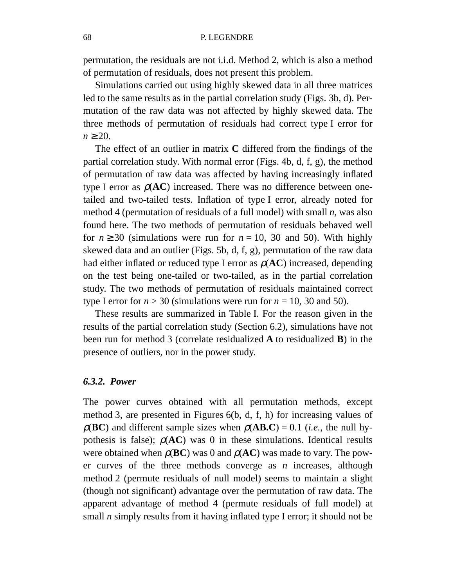permutation, the residuals are not i.i.d. Method 2, which is also a method of permutation of residuals, does not present this problem.

Simulations carried out using highly skewed data in all three matrices led to the same results as in the partial correlation study (Figs. 3b, d). Permutation of the raw data was not affected by highly skewed data. The three methods of permutation of residuals had correct type I error for  $n \geq 20$ .

The effect of an outlier in matrix **C** differed from the findings of the partial correlation study. With normal error (Figs. 4b, d, f, g), the method of permutation of raw data was affected by having increasingly inflated type I error as  $\rho$ (AC) increased. There was no difference between onetailed and two-tailed tests. Inflation of type I error, already noted for method 4 (permutation of residuals of a full model) with small *n*, was also found here. The two methods of permutation of residuals behaved well for  $n \ge 30$  (simulations were run for  $n = 10$ , 30 and 50). With highly skewed data and an outlier (Figs. 5b, d, f, g), permutation of the raw data had either inflated or reduced type I error as  $\rho$ (AC) increased, depending on the test being one-tailed or two-tailed, as in the partial correlation study. The two methods of permutation of residuals maintained correct type I error for  $n > 30$  (simulations were run for  $n = 10, 30$  and 50).

These results are summarized in Table I. For the reason given in the results of the partial correlation study (Section 6.2), simulations have not been run for method 3 (correlate residualized **A** to residualized **B**) in the presence of outliers, nor in the power study.

## *6.3.2. Power*

The power curves obtained with all permutation methods, except method 3, are presented in Figures 6(b, d, f, h) for increasing values of  $\rho(BC)$  and different sample sizes when  $\rho(AB.C) = 0.1$  (*i.e.*, the null hypothesis is false);  $\rho$ (**AC**) was 0 in these simulations. Identical results were obtained when  $\rho(BC)$  was 0 and  $\rho(AC)$  was made to vary. The power curves of the three methods converge as *n* increases, although method 2 (permute residuals of null model) seems to maintain a slight (though not significant) advantage over the permutation of raw data. The apparent advantage of method 4 (permute residuals of full model) at small *n* simply results from it having inflated type I error; it should not be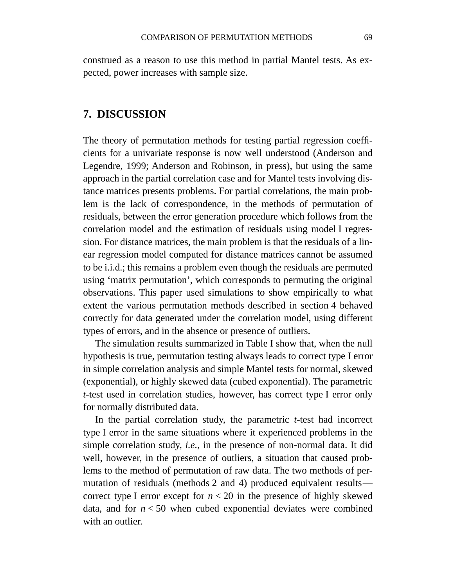construed as a reason to use this method in partial Mantel tests. As expected, power increases with sample size.

# **7. DISCUSSION**

The theory of permutation methods for testing partial regression coefficients for a univariate response is now well understood (Anderson and Legendre, 1999; Anderson and Robinson, in press), but using the same approach in the partial correlation case and for Mantel tests involving distance matrices presents problems. For partial correlations, the main problem is the lack of correspondence, in the methods of permutation of residuals, between the error generation procedure which follows from the correlation model and the estimation of residuals using model I regression. For distance matrices, the main problem is that the residuals of a linear regression model computed for distance matrices cannot be assumed to be i.i.d.; this remains a problem even though the residuals are permuted using 'matrix permutation', which corresponds to permuting the original observations. This paper used simulations to show empirically to what extent the various permutation methods described in section 4 behaved correctly for data generated under the correlation model, using different types of errors, and in the absence or presence of outliers.

The simulation results summarized in Table I show that, when the null hypothesis is true, permutation testing always leads to correct type I error in simple correlation analysis and simple Mantel tests for normal, skewed (exponential), or highly skewed data (cubed exponential). The parametric *t*-test used in correlation studies, however, has correct type I error only for normally distributed data.

In the partial correlation study, the parametric *t*-test had incorrect type I error in the same situations where it experienced problems in the simple correlation study, *i.e.*, in the presence of non-normal data. It did well, however, in the presence of outliers, a situation that caused problems to the method of permutation of raw data. The two methods of permutation of residuals (methods 2 and 4) produced equivalent results correct type I error except for  $n < 20$  in the presence of highly skewed data, and for  $n < 50$  when cubed exponential deviates were combined with an outlier.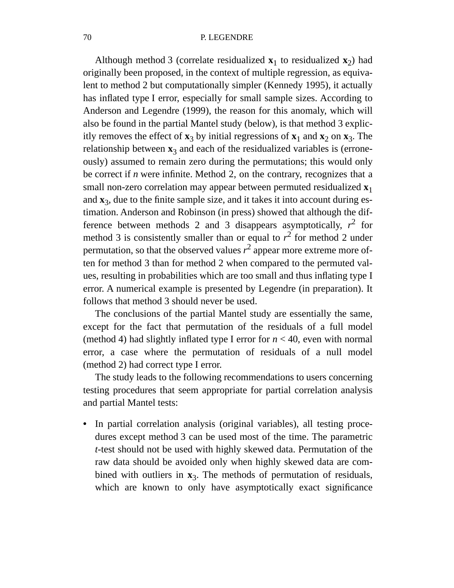#### 70 P. LEGENDRE

Although method 3 (correlate residualized  $\mathbf{x}_1$  to residualized  $\mathbf{x}_2$ ) had originally been proposed, in the context of multiple regression, as equivalent to method 2 but computationally simpler (Kennedy 1995), it actually has inflated type I error, especially for small sample sizes. According to Anderson and Legendre (1999), the reason for this anomaly, which will also be found in the partial Mantel study (below), is that method 3 explicitly removes the effect of  $\mathbf{x}_3$  by initial regressions of  $\mathbf{x}_1$  and  $\mathbf{x}_2$  on  $\mathbf{x}_3$ . The relationship between  $\mathbf{x}_3$  and each of the residualized variables is (erroneously) assumed to remain zero during the permutations; this would only be correct if *n* were infinite. Method 2, on the contrary, recognizes that a small non-zero correlation may appear between permuted residualized **x**<sup>1</sup> and **x**3, due to the finite sample size, and it takes it into account during estimation. Anderson and Robinson (in press) showed that although the difference between methods 2 and 3 disappears asymptotically, *r* 2 for method 3 is consistently smaller than or equal to  $r^2$  for method 2 under permutation, so that the observed values  $r^2$  appear more extreme more often for method 3 than for method 2 when compared to the permuted values, resulting in probabilities which are too small and thus inflating type I error. A numerical example is presented by Legendre (in preparation). It follows that method 3 should never be used.

The conclusions of the partial Mantel study are essentially the same, except for the fact that permutation of the residuals of a full model (method 4) had slightly inflated type I error for  $n < 40$ , even with normal error, a case where the permutation of residuals of a null model (method 2) had correct type I error.

The study leads to the following recommendations to users concerning testing procedures that seem appropriate for partial correlation analysis and partial Mantel tests:

**•** In partial correlation analysis (original variables), all testing procedures except method 3 can be used most of the time. The parametric *t*-test should not be used with highly skewed data. Permutation of the raw data should be avoided only when highly skewed data are combined with outliers in  $\mathbf{x}_3$ . The methods of permutation of residuals, which are known to only have asymptotically exact significance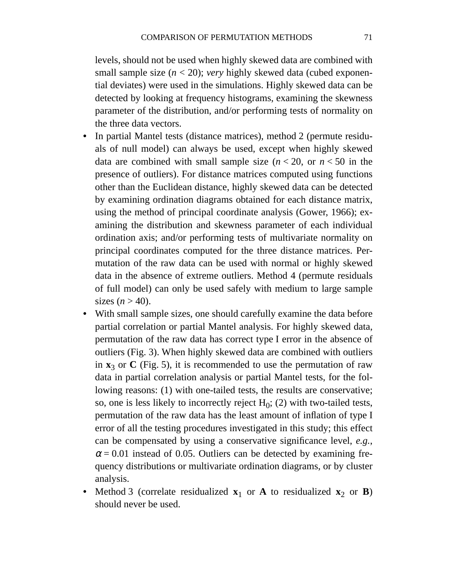levels, should not be used when highly skewed data are combined with small sample size (*n* < 20); *very* highly skewed data (cubed exponential deviates) were used in the simulations. Highly skewed data can be detected by looking at frequency histograms, examining the skewness parameter of the distribution, and/or performing tests of normality on the three data vectors.

- In partial Mantel tests (distance matrices), method 2 (permute residuals of null model) can always be used, except when highly skewed data are combined with small sample size  $(n < 20)$ , or  $n < 50$  in the presence of outliers). For distance matrices computed using functions other than the Euclidean distance, highly skewed data can be detected by examining ordination diagrams obtained for each distance matrix, using the method of principal coordinate analysis (Gower, 1966); examining the distribution and skewness parameter of each individual ordination axis; and/or performing tests of multivariate normality on principal coordinates computed for the three distance matrices. Permutation of the raw data can be used with normal or highly skewed data in the absence of extreme outliers. Method 4 (permute residuals of full model) can only be used safely with medium to large sample sizes  $(n>40)$ .
- With small sample sizes, one should carefully examine the data before partial correlation or partial Mantel analysis. For highly skewed data, permutation of the raw data has correct type I error in the absence of outliers (Fig. 3). When highly skewed data are combined with outliers in  $\mathbf{x}_3$  or **C** (Fig. 5), it is recommended to use the permutation of raw data in partial correlation analysis or partial Mantel tests, for the following reasons: (1) with one-tailed tests, the results are conservative; so, one is less likely to incorrectly reject  $H_0$ ; (2) with two-tailed tests, permutation of the raw data has the least amount of inflation of type I error of all the testing procedures investigated in this study; this effect can be compensated by using a conservative significance level, *e.g.*,  $\alpha$  = 0.01 instead of 0.05. Outliers can be detected by examining frequency distributions or multivariate ordination diagrams, or by cluster analysis.
- Method 3 (correlate residualized  $\mathbf{x}_1$  or **A** to residualized  $\mathbf{x}_2$  or **B**) should never be used.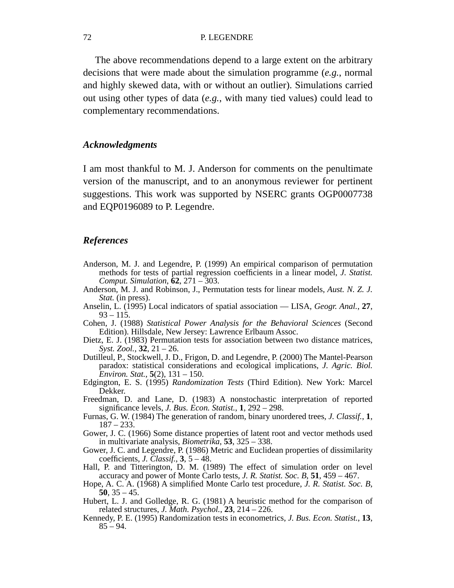#### 72 P. LEGENDRE

The above recommendations depend to a large extent on the arbitrary decisions that were made about the simulation programme (*e.g.*, normal and highly skewed data, with or without an outlier). Simulations carried out using other types of data (*e.g.*, with many tied values) could lead to complementary recommendations.

## *Acknowledgments*

I am most thankful to M. J. Anderson for comments on the penultimate version of the manuscript, and to an anonymous reviewer for pertinent suggestions. This work was supported by NSERC grants OGP0007738 and EQP0196089 to P. Legendre.

# *References*

- Anderson, M. J. and Legendre, P. (1999) An empirical comparison of permutation methods for tests of partial regression coefficients in a linear model, *J. Statist. Comput. Simulation*, **62**, 271 – 303.
- Anderson, M. J. and Robinson, J., Permutation tests for linear models, *Aust. N. Z. J. Stat.* (in press).
- Anselin, L. (1995) Local indicators of spatial association LISA, *Geogr. Anal.*, **27**,  $93 - 115$ .
- Cohen, J. (1988) *Statistical Power Analysis for the Behavioral Sciences* (Second Edition). Hillsdale, New Jersey: Lawrence Erlbaum Assoc.
- Dietz, E. J. (1983) Permutation tests for association between two distance matrices, *Syst. Zool.*, **32**, 21 – 26.
- Dutilleul, P., Stockwell, J. D., Frigon, D. and Legendre, P. (2000) The Mantel-Pearson paradox: statistical considerations and ecological implications, *J. Agric. Biol. Environ. Stat.*, **5**(2), 131 – 150.
- Edgington, E. S. (1995) *Randomization Tests* (Third Edition). New York: Marcel Dekker.
- Freedman, D. and Lane, D. (1983) A nonstochastic interpretation of reported significance levels, *J. Bus. Econ. Statist.*, **1**, 292 – 298.
- Furnas, G. W. (1984) The generation of random, binary unordered trees, *J. Classif.*, **1**, 187 – 233.
- Gower, J. C. (1966) Some distance properties of latent root and vector methods used in multivariate analysis, *Biometrika*, **53**, 325 – 338.
- Gower, J. C. and Legendre, P. (1986) Metric and Euclidean properties of dissimilarity coefficients, *J. Classif.*, **3**, 5 – 48.
- Hall, P. and Titterington, D. M. (1989) The effect of simulation order on level accuracy and power of Monte Carlo tests, *J. R. Statist. Soc. B*, **51**, 459 – 467.
- Hope, A. C. A. (1968) A simplified Monte Carlo test procedure, *J. R. Statist. Soc. B*, **50**, 35 – 45.
- Hubert, L. J. and Golledge, R. G. (1981) A heuristic method for the comparison of related structures, *J. Math. Psychol.*, **23**, 214 – 226.
- Kennedy, P. E. (1995) Randomization tests in econometrics, *J. Bus. Econ. Statist.*, **13**,  $85 - 94.$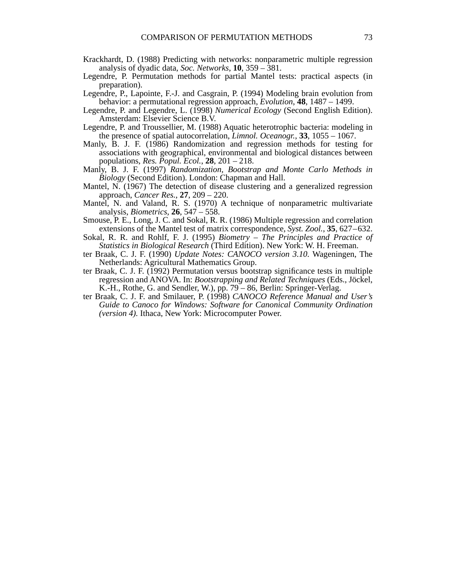- Krackhardt, D. (1988) Predicting with networks: nonparametric multiple regression analysis of dyadic data, *Soc. Networks*, **10**, 359 – 381.
- Legendre, P. Permutation methods for partial Mantel tests: practical aspects (in preparation).
- Legendre, P., Lapointe, F.-J. and Casgrain, P. (1994) Modeling brain evolution from behavior: a permutational regression approach, *Evolution*, **48**, 1487 – 1499.
- Legendre, P. and Legendre, L. (1998) *Numerical Ecology* (Second English Edition). Amsterdam: Elsevier Science B.V.
- Legendre, P. and Troussellier, M. (1988) Aquatic heterotrophic bacteria: modeling in the presence of spatial autocorrelation, *Limnol. Oceanogr.*, **33**, 1055 – 1067.
- Manly, B. J. F. (1986) Randomization and regression methods for testing for associations with geographical, environmental and biological distances between populations, *Res. Popul. Ecol.*, **28**, 201 – 218.
- Manly, B. J. F. (1997) *Randomization, Bootstrap and Monte Carlo Methods in Biology* (Second Edition). London: Chapman and Hall.
- Mantel, N. (1967) The detection of disease clustering and a generalized regression approach, *Cancer Res.*, **27**, 209 – 220.
- Mantel, N. and Valand, R. S. (1970) A technique of nonparametric multivariate analysis, *Biometrics*, **26**, 547 – 558.
- Smouse, P. E., Long, J. C. and Sokal, R. R. (1986) Multiple regression and correlation extensions of the Mantel test of matrix correspondence, *Syst. Zool.*, **35**, 627–632.
- Sokal, R. R. and Rohlf, F. J. (1995) *Biometry The Principles and Practice of Statistics in Biological Research* (Third Edition). New York: W. H. Freeman.
- ter Braak, C. J. F. (1990) *Update Notes: CANOCO version 3.10.* Wageningen, The Netherlands: Agricultural Mathematics Group.
- ter Braak, C. J. F. (1992) Permutation versus bootstrap significance tests in multiple regression and ANOVA. In: *Bootstrapping and Related Techniques* (Eds., Jöckel, K.-H., Rothe, G. and Sendler, W.), pp. 79 – 86, Berlin: Springer-Verlag.
- ter Braak, C. J. F. and Smilauer, P. (1998) *CANOCO Reference Manual and User's Guide to Canoco for Windows: Software for Canonical Community Ordination (version 4).* Ithaca, New York: Microcomputer Power.